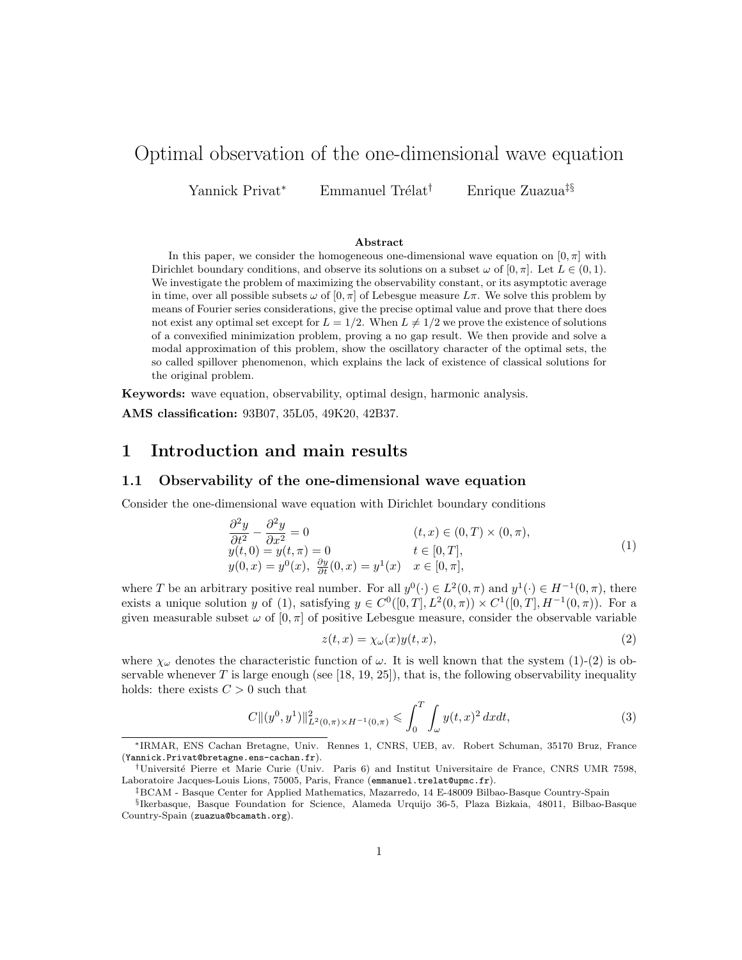# Optimal observation of the one-dimensional wave equation

Yannick Privat<sup>∗</sup> Emmanuel Trélat<sup>†</sup> Enrique Zuazua<sup>‡§</sup>

#### Abstract

In this paper, we consider the homogeneous one-dimensional wave equation on  $[0, \pi]$  with Dirichlet boundary conditions, and observe its solutions on a subset  $\omega$  of  $[0, \pi]$ . Let  $L \in (0, 1)$ . We investigate the problem of maximizing the observability constant, or its asymptotic average in time, over all possible subsets  $\omega$  of  $[0, \pi]$  of Lebesgue measure  $L\pi$ . We solve this problem by means of Fourier series considerations, give the precise optimal value and prove that there does not exist any optimal set except for  $L = 1/2$ . When  $L \neq 1/2$  we prove the existence of solutions of a convexified minimization problem, proving a no gap result. We then provide and solve a modal approximation of this problem, show the oscillatory character of the optimal sets, the so called spillover phenomenon, which explains the lack of existence of classical solutions for the original problem.

Keywords: wave equation, observability, optimal design, harmonic analysis. AMS classification: 93B07, 35L05, 49K20, 42B37.

### 1 Introduction and main results

### 1.1 Observability of the one-dimensional wave equation

Consider the one-dimensional wave equation with Dirichlet boundary conditions

$$
\frac{\partial^2 y}{\partial t^2} - \frac{\partial^2 y}{\partial x^2} = 0
$$
\n
$$
y(t,0) = y(t,\pi) = 0
$$
\n
$$
y(0,x) = y^0(x), \quad \frac{\partial y}{\partial t}(0,x) = y^1(x)
$$
\n
$$
t \in [0,T],
$$
\n
$$
y(0,x) = y^0(x), \quad \frac{\partial y}{\partial t}(0,x) = y^1(x)
$$
\n
$$
x \in [0,\pi],
$$
\n
$$
(1)
$$

where T be an arbitrary positive real number. For all  $y^0(\cdot) \in L^2(0, \pi)$  and  $y^1(\cdot) \in H^{-1}(0, \pi)$ , there exists a unique solution y of (1), satisfying  $y \in C^0([0,T], L^2(0,\pi)) \times C^1([0,T], H^{-1}(0,\pi))$ . For a given measurable subset  $\omega$  of  $[0, \pi]$  of positive Lebesgue measure, consider the observable variable

$$
z(t,x) = \chi_{\omega}(x)y(t,x),\tag{2}
$$

where  $\chi_{\omega}$  denotes the characteristic function of  $\omega$ . It is well known that the system (1)-(2) is observable whenever T is large enough (see [18, 19, 25]), that is, the following observability inequality holds: there exists  $C > 0$  such that

$$
C\|(y^0, y^1)\|_{L^2(0,\pi)\times H^{-1}(0,\pi)}^2 \leqslant \int_0^T \int_{\omega} y(t,x)^2 dxdt,
$$
\n(3)

<sup>∗</sup>IRMAR, ENS Cachan Bretagne, Univ. Rennes 1, CNRS, UEB, av. Robert Schuman, 35170 Bruz, France (Yannick.Privat@bretagne.ens-cachan.fr).

<sup>†</sup>Universit´e Pierre et Marie Curie (Univ. Paris 6) and Institut Universitaire de France, CNRS UMR 7598, Laboratoire Jacques-Louis Lions, 75005, Paris, France (emmanuel.trelat@upmc.fr).

<sup>‡</sup>BCAM - Basque Center for Applied Mathematics, Mazarredo, 14 E-48009 Bilbao-Basque Country-Spain

<sup>§</sup> Ikerbasque, Basque Foundation for Science, Alameda Urquijo 36-5, Plaza Bizkaia, 48011, Bilbao-Basque Country-Spain (zuazua@bcamath.org).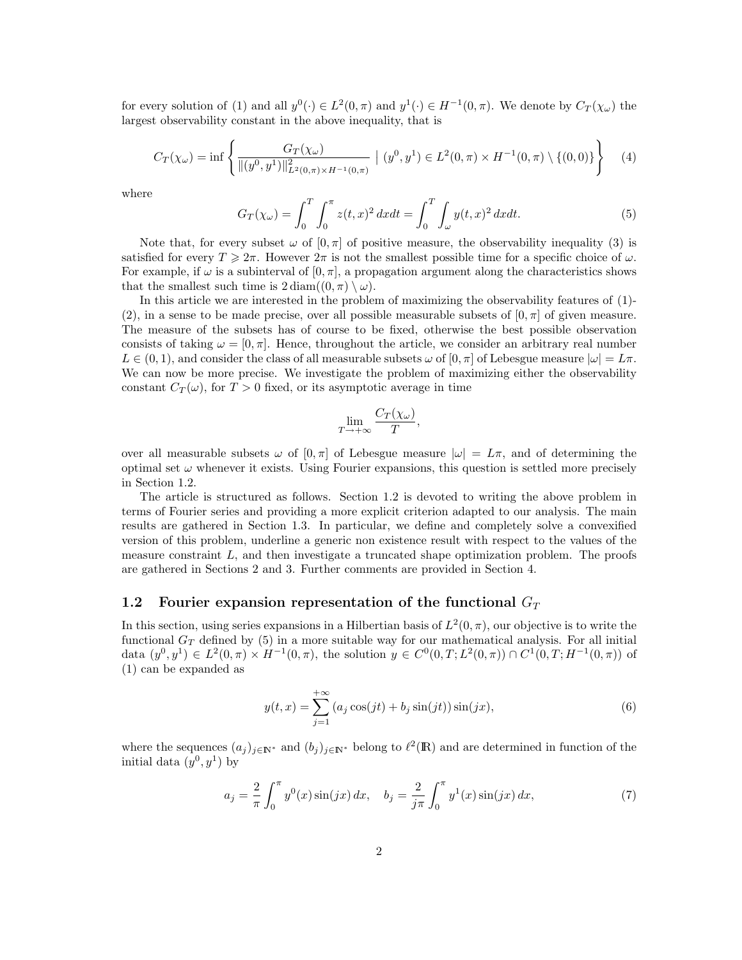for every solution of (1) and all  $y^0(\cdot) \in L^2(0, \pi)$  and  $y^1(\cdot) \in H^{-1}(0, \pi)$ . We denote by  $C_T(\chi_{\omega})$  the largest observability constant in the above inequality, that is

$$
C_T(\chi_{\omega}) = \inf \left\{ \frac{G_T(\chi_{\omega})}{\| (y^0, y^1) \|_{L^2(0, \pi) \times H^{-1}(0, \pi)}^2} \; \left| \; (y^0, y^1) \in L^2(0, \pi) \times H^{-1}(0, \pi) \setminus \{ (0, 0) \} \right. \right\} \tag{4}
$$

where

$$
G_T(\chi_\omega) = \int_0^T \int_0^\pi z(t, x)^2 dx dt = \int_0^T \int_\omega y(t, x)^2 dx dt.
$$
 (5)

Note that, for every subset  $\omega$  of  $[0, \pi]$  of positive measure, the observability inequality (3) is satisfied for every  $T \geq 2\pi$ . However  $2\pi$  is not the smallest possible time for a specific choice of  $\omega$ . For example, if  $\omega$  is a subinterval of  $[0, \pi]$ , a propagation argument along the characteristics shows that the smallest such time is  $2 \operatorname{diam}((0, \pi) \setminus \omega)$ .

In this article we are interested in the problem of maximizing the observability features of (1)- (2), in a sense to be made precise, over all possible measurable subsets of  $[0, \pi]$  of given measure. The measure of the subsets has of course to be fixed, otherwise the best possible observation consists of taking  $\omega = [0, \pi]$ . Hence, throughout the article, we consider an arbitrary real number  $L \in (0, 1)$ , and consider the class of all measurable subsets  $\omega$  of  $[0, \pi]$  of Lebesgue measure  $|\omega| = L\pi$ . We can now be more precise. We investigate the problem of maximizing either the observability constant  $C_T(\omega)$ , for  $T > 0$  fixed, or its asymptotic average in time

$$
\lim_{T \to +\infty} \frac{C_T(\chi_\omega)}{T}
$$

,

over all measurable subsets  $\omega$  of  $[0, \pi]$  of Lebesgue measure  $|\omega| = L\pi$ , and of determining the optimal set  $\omega$  whenever it exists. Using Fourier expansions, this question is settled more precisely in Section 1.2.

The article is structured as follows. Section 1.2 is devoted to writing the above problem in terms of Fourier series and providing a more explicit criterion adapted to our analysis. The main results are gathered in Section 1.3. In particular, we define and completely solve a convexified version of this problem, underline a generic non existence result with respect to the values of the measure constraint  $L$ , and then investigate a truncated shape optimization problem. The proofs are gathered in Sections 2 and 3. Further comments are provided in Section 4.

### 1.2 Fourier expansion representation of the functional  $G_T$

In this section, using series expansions in a Hilbertian basis of  $L^2(0, \pi)$ , our objective is to write the functional  $G_T$  defined by (5) in a more suitable way for our mathematical analysis. For all initial data  $(y^0, y^1) \in L^2(0, \pi) \times H^{-1}(0, \pi)$ , the solution  $y \in C^0(0, T; L^2(0, \pi)) \cap C^1(0, T; H^{-1}(0, \pi))$  of (1) can be expanded as

$$
y(t,x) = \sum_{j=1}^{+\infty} (a_j \cos(jt) + b_j \sin(jt)) \sin(jx),
$$
 (6)

where the sequences  $(a_j)_{j\in\mathbb{N}^*}$  and  $(b_j)_{j\in\mathbb{N}^*}$  belong to  $\ell^2(\mathbb{R})$  and are determined in function of the initial data  $(y^0, y^1)$  by

$$
a_j = \frac{2}{\pi} \int_0^{\pi} y^0(x) \sin(jx) \, dx, \quad b_j = \frac{2}{j\pi} \int_0^{\pi} y^1(x) \sin(jx) \, dx,\tag{7}
$$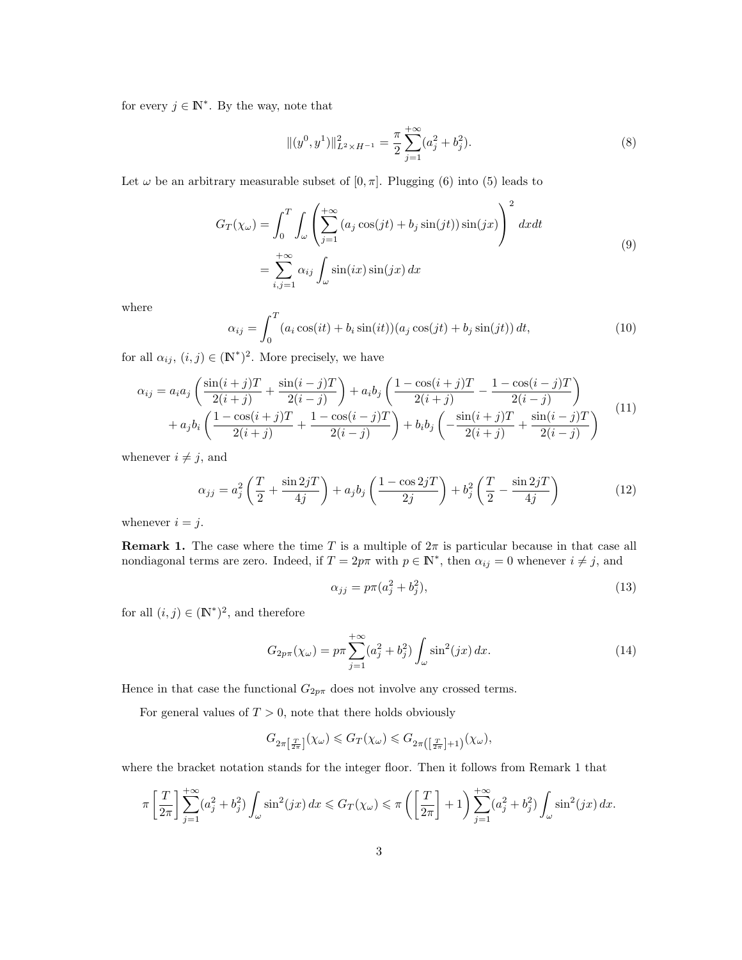for every  $j \in \mathbb{N}^*$ . By the way, note that

$$
\|(y^0, y^1)\|_{L^2 \times H^{-1}}^2 = \frac{\pi}{2} \sum_{j=1}^{+\infty} (a_j^2 + b_j^2).
$$
 (8)

Let  $\omega$  be an arbitrary measurable subset of  $[0, \pi]$ . Plugging (6) into (5) leads to

$$
G_T(\chi_{\omega}) = \int_0^T \int_{\omega} \left( \sum_{j=1}^{+\infty} (a_j \cos(jt) + b_j \sin(jt)) \sin(jx) \right)^2 dx dt
$$
  
= 
$$
\sum_{i,j=1}^{+\infty} \alpha_{ij} \int_{\omega} \sin(ix) \sin(jx) dx
$$
 (9)

where

$$
\alpha_{ij} = \int_0^T (a_i \cos(it) + b_i \sin(it)) (a_j \cos(jt) + b_j \sin(jt)) dt,
$$
\n(10)

for all  $\alpha_{ij}$ ,  $(i, j) \in (\mathbb{N}^*)^2$ . More precisely, we have

$$
\alpha_{ij} = a_i a_j \left( \frac{\sin(i+j)T}{2(i+j)} + \frac{\sin(i-j)T}{2(i-j)} \right) + a_i b_j \left( \frac{1 - \cos(i+j)T}{2(i+j)} - \frac{1 - \cos(i-j)T}{2(i-j)} \right) + a_j b_i \left( \frac{1 - \cos(i+j)T}{2(i+j)} + \frac{1 - \cos(i-j)T}{2(i-j)} \right) + b_i b_j \left( -\frac{\sin(i+j)T}{2(i+j)} + \frac{\sin(i-j)T}{2(i-j)} \right)
$$
(11)

whenever  $i \neq j$ , and

$$
\alpha_{jj} = a_j^2 \left( \frac{T}{2} + \frac{\sin 2jT}{4j} \right) + a_j b_j \left( \frac{1 - \cos 2jT}{2j} \right) + b_j^2 \left( \frac{T}{2} - \frac{\sin 2jT}{4j} \right) \tag{12}
$$

whenever  $i = j$ .

**Remark 1.** The case where the time T is a multiple of  $2\pi$  is particular because in that case all nondiagonal terms are zero. Indeed, if  $T = 2p\pi$  with  $p \in \mathbb{N}^*$ , then  $\alpha_{ij} = 0$  whenever  $i \neq j$ , and

$$
\alpha_{jj} = p\pi (a_j^2 + b_j^2),\tag{13}
$$

for all  $(i, j) \in (\mathbb{N}^*)^2$ , and therefore

$$
G_{2p\pi}(\chi_{\omega}) = p\pi \sum_{j=1}^{+\infty} (a_j^2 + b_j^2) \int_{\omega} \sin^2(jx) \, dx. \tag{14}
$$

Hence in that case the functional  $G_{2p\pi}$  does not involve any crossed terms.

For general values of  $T > 0$ , note that there holds obviously

$$
G_{2\pi\left[\frac{T}{2\pi}\right]}(\chi_\omega)\leqslant G_T(\chi_\omega)\leqslant G_{2\pi\left(\left[\frac{T}{2\pi}\right]+1\right)}(\chi_\omega),
$$

where the bracket notation stands for the integer floor. Then it follows from Remark 1 that

$$
\pi \left[ \frac{T}{2\pi} \right] \sum_{j=1}^{+\infty} (a_j^2 + b_j^2) \int_{\omega} \sin^2(jx) \, dx \leqslant G_T(\chi_{\omega}) \leqslant \pi \left( \left[ \frac{T}{2\pi} \right] + 1 \right) \sum_{j=1}^{+\infty} (a_j^2 + b_j^2) \int_{\omega} \sin^2(jx) \, dx.
$$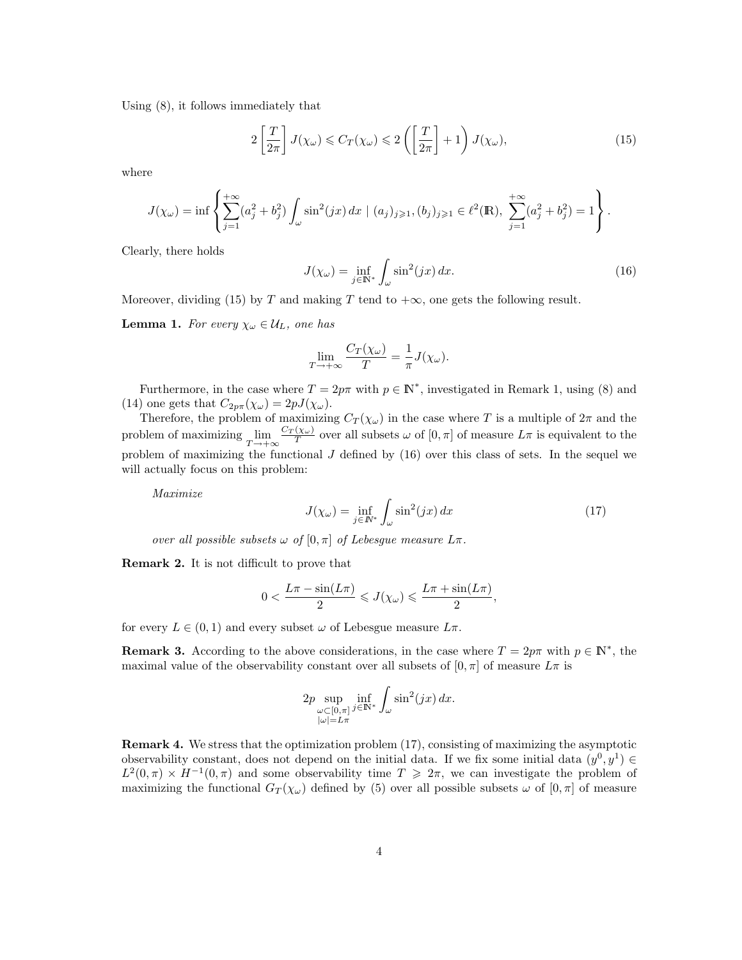Using (8), it follows immediately that

$$
2\left[\frac{T}{2\pi}\right]J(\chi_{\omega})\leqslant C_T(\chi_{\omega})\leqslant 2\left(\left[\frac{T}{2\pi}\right]+1\right)J(\chi_{\omega}),\tag{15}
$$

where

$$
J(\chi_{\omega}) = \inf \left\{ \sum_{j=1}^{+\infty} (a_j^2 + b_j^2) \int_{\omega} \sin^2(jx) \, dx \mid (a_j)_{j \geq 1}, (b_j)_{j \geq 1} \in \ell^2(\mathbb{R}), \sum_{j=1}^{+\infty} (a_j^2 + b_j^2) = 1 \right\}.
$$

Clearly, there holds

$$
J(\chi_{\omega}) = \inf_{j \in \mathbb{N}^*} \int_{\omega} \sin^2(jx) \, dx. \tag{16}
$$

Moreover, dividing (15) by T and making T tend to  $+\infty$ , one gets the following result.

**Lemma 1.** For every  $\chi_{\omega} \in \mathcal{U}_L$ , one has

$$
\lim_{T \to +\infty} \frac{C_T(\chi_\omega)}{T} = \frac{1}{\pi} J(\chi_\omega).
$$

Furthermore, in the case where  $T = 2p\pi$  with  $p \in \mathbb{N}^*$ , investigated in Remark 1, using (8) and (14) one gets that  $C_{2p\pi}(\chi_{\omega}) = 2pJ(\chi_{\omega}).$ 

Therefore, the problem of maximizing  $C_T(\chi_{\omega})$  in the case where T is a multiple of  $2\pi$  and the problem of maximizing  $\lim_{T \to +\infty}$  $\frac{C_T(\chi_\omega)}{T}$  over all subsets  $\omega$  of  $[0, \pi]$  of measure  $L\pi$  is equivalent to the problem of maximizing the functional J defined by (16) over this class of sets. In the sequel we will actually focus on this problem:

Maximize

$$
J(\chi_{\omega}) = \inf_{j \in \mathbb{N}^*} \int_{\omega} \sin^2(jx) \, dx \tag{17}
$$

over all possible subsets  $\omega$  of  $[0, \pi]$  of Lebesgue measure  $L\pi$ .

Remark 2. It is not difficult to prove that

$$
0 < \frac{L\pi - \sin(L\pi)}{2} \leqslant J(\chi_{\omega}) \leqslant \frac{L\pi + \sin(L\pi)}{2},
$$

for every  $L \in (0,1)$  and every subset  $\omega$  of Lebesgue measure  $L\pi$ .

**Remark 3.** According to the above considerations, in the case where  $T = 2p\pi$  with  $p \in \mathbb{N}^*$ , the maximal value of the observability constant over all subsets of  $[0, \pi]$  of measure  $L\pi$  is

$$
2p \sup_{\substack{\omega \subset [0,\pi] \\ |\omega| = L\pi}} \inf_{j \in \mathbb{N}^*} \int_{\omega} \sin^2(jx) \, dx.
$$

Remark 4. We stress that the optimization problem (17), consisting of maximizing the asymptotic observability constant, does not depend on the initial data. If we fix some initial data  $(y^0, y^1) \in$  $L^2(0, \pi) \times H^{-1}(0, \pi)$  and some observability time  $T \geq 2\pi$ , we can investigate the problem of maximizing the functional  $G_T(\chi_\omega)$  defined by (5) over all possible subsets  $\omega$  of  $[0, \pi]$  of measure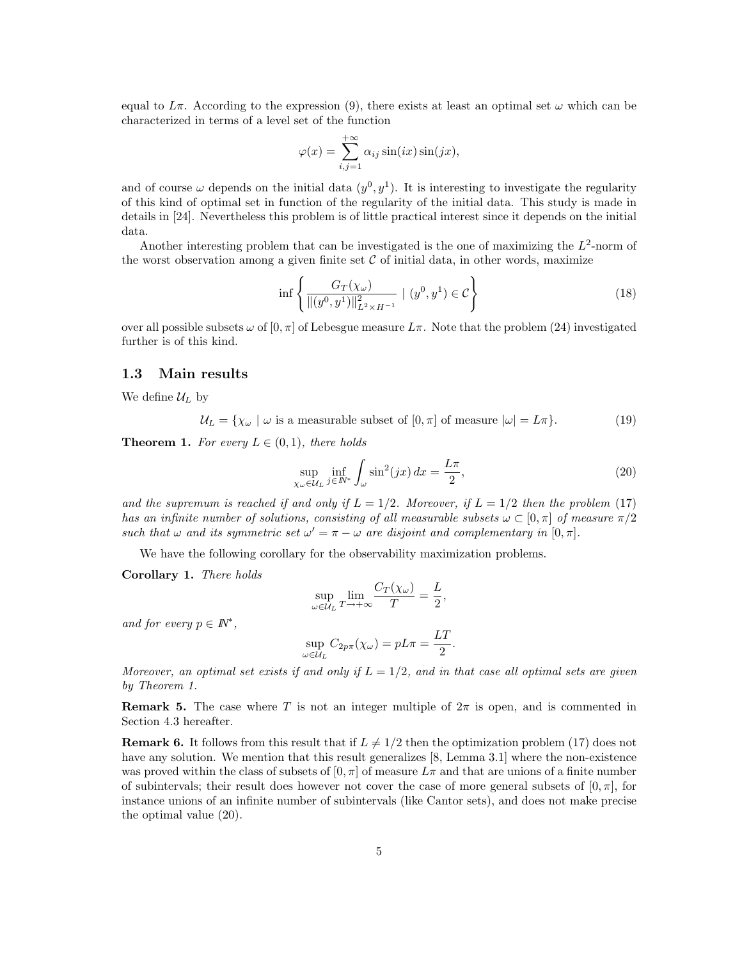equal to  $L\pi$ . According to the expression (9), there exists at least an optimal set  $\omega$  which can be characterized in terms of a level set of the function

$$
\varphi(x) = \sum_{i,j=1}^{+\infty} \alpha_{ij} \sin(ix) \sin(jx),
$$

and of course  $\omega$  depends on the initial data  $(y^0, y^1)$ . It is interesting to investigate the regularity of this kind of optimal set in function of the regularity of the initial data. This study is made in details in [24]. Nevertheless this problem is of little practical interest since it depends on the initial data.

Another interesting problem that can be investigated is the one of maximizing the  $L^2$ -norm of the worst observation among a given finite set  $C$  of initial data, in other words, maximize

$$
\inf \left\{ \frac{G_T(\chi_\omega)}{\|(y^0, y^1)\|_{L^2 \times H^{-1}}^2} \mid (y^0, y^1) \in \mathcal{C} \right\} \tag{18}
$$

over all possible subsets  $\omega$  of  $[0, \pi]$  of Lebesgue measure  $L\pi$ . Note that the problem (24) investigated further is of this kind.

### 1.3 Main results

We define  $\mathcal{U}_L$  by

$$
\mathcal{U}_L = \{ \chi_\omega \mid \omega \text{ is a measurable subset of } [0, \pi] \text{ of measure } |\omega| = L\pi \}. \tag{19}
$$

**Theorem 1.** For every  $L \in (0,1)$ , there holds

$$
\sup_{\chi_{\omega}\in\mathcal{U}_{L}}\inf_{j\in\mathbb{N}^{*}}\int_{\omega}\sin^{2}(jx)\,dx=\frac{L\pi}{2},\tag{20}
$$

and the supremum is reached if and only if  $L = 1/2$ . Moreover, if  $L = 1/2$  then the problem (17) has an infinite number of solutions, consisting of all measurable subsets  $\omega \subset [0, \pi]$  of measure  $\pi/2$ such that  $\omega$  and its symmetric set  $\omega' = \pi - \omega$  are disjoint and complementary in [0,  $\pi$ ].

We have the following corollary for the observability maximization problems.

Corollary 1. There holds

$$
\sup_{\omega \in \mathcal{U}_L} \lim_{T \to +\infty} \frac{C_T(\chi_{\omega})}{T} = \frac{L}{2},
$$

and for every  $p \in \mathbb{N}^*$ ,

$$
\sup_{\omega \in \mathcal{U}_L} C_{2p\pi}(\chi_\omega) = pL\pi = \frac{LT}{2}.
$$

Moreover, an optimal set exists if and only if  $L = 1/2$ , and in that case all optimal sets are given by Theorem 1.

**Remark 5.** The case where T is not an integer multiple of  $2\pi$  is open, and is commented in Section 4.3 hereafter.

**Remark 6.** It follows from this result that if  $L \neq 1/2$  then the optimization problem (17) does not have any solution. We mention that this result generalizes [8, Lemma 3.1] where the non-existence was proved within the class of subsets of  $[0, \pi]$  of measure  $L\pi$  and that are unions of a finite number of subintervals; their result does however not cover the case of more general subsets of  $[0, \pi]$ , for instance unions of an infinite number of subintervals (like Cantor sets), and does not make precise the optimal value (20).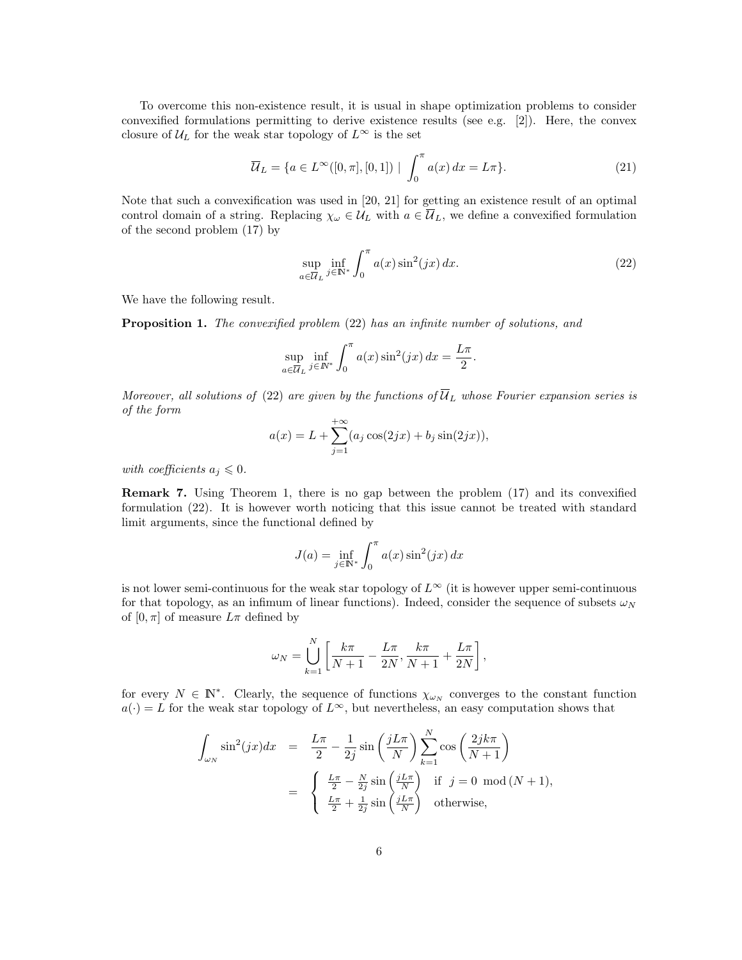To overcome this non-existence result, it is usual in shape optimization problems to consider convexified formulations permitting to derive existence results (see e.g. [2]). Here, the convex closure of  $U_L$  for the weak star topology of  $L^{\infty}$  is the set

$$
\overline{\mathcal{U}}_L = \{ a \in L^{\infty}([0, \pi], [0, 1]) \mid \int_0^{\pi} a(x) dx = L\pi \}.
$$
 (21)

Note that such a convexification was used in [20, 21] for getting an existence result of an optimal control domain of a string. Replacing  $\chi_{\omega} \in \mathcal{U}_L$  with  $a \in \overline{\mathcal{U}}_L$ , we define a convexified formulation of the second problem (17) by

$$
\sup_{a \in \overline{U}_L} \inf_{j \in \mathbb{N}^*} \int_0^\pi a(x) \sin^2(jx) \, dx. \tag{22}
$$

We have the following result.

Proposition 1. The convexified problem (22) has an infinite number of solutions, and

$$
\sup_{a \in \overline{U}_L} \inf_{j \in \mathbb{N}^*} \int_0^{\pi} a(x) \sin^2(jx) dx = \frac{L\pi}{2}.
$$

Moreover, all solutions of (22) are given by the functions of  $\overline{U}_L$  whose Fourier expansion series is of the form

$$
a(x) = L + \sum_{j=1}^{+\infty} (a_j \cos(2jx) + b_j \sin(2jx)),
$$

with coefficients  $a_i \leq 0$ .

Remark 7. Using Theorem 1, there is no gap between the problem (17) and its convexified formulation (22). It is however worth noticing that this issue cannot be treated with standard limit arguments, since the functional defined by

$$
J(a) = \inf_{j \in \mathbb{N}^*} \int_0^{\pi} a(x) \sin^2(jx) dx
$$

is not lower semi-continuous for the weak star topology of  $L^{\infty}$  (it is however upper semi-continuous for that topology, as an infimum of linear functions). Indeed, consider the sequence of subsets  $\omega_N$ of  $[0, \pi]$  of measure  $L\pi$  defined by

$$
\omega_N = \bigcup_{k=1}^N \left[ \frac{k\pi}{N+1} - \frac{L\pi}{2N}, \frac{k\pi}{N+1} + \frac{L\pi}{2N} \right],
$$

for every  $N \in \mathbb{N}^*$ . Clearly, the sequence of functions  $\chi_{\omega_N}$  converges to the constant function  $a(\cdot) = L$  for the weak star topology of  $L^{\infty}$ , but nevertheless, an easy computation shows that

$$
\int_{\omega_N} \sin^2(jx) dx = \frac{L\pi}{2} - \frac{1}{2j} \sin\left(\frac{jL\pi}{N}\right) \sum_{k=1}^N \cos\left(\frac{2jk\pi}{N+1}\right)
$$

$$
= \begin{cases} \frac{L\pi}{2} - \frac{N}{2j} \sin\left(\frac{jL\pi}{N}\right) & \text{if } j = 0 \mod(N+1), \\ \frac{L\pi}{2} + \frac{1}{2j} \sin\left(\frac{jL\pi}{N}\right) & \text{otherwise,} \end{cases}
$$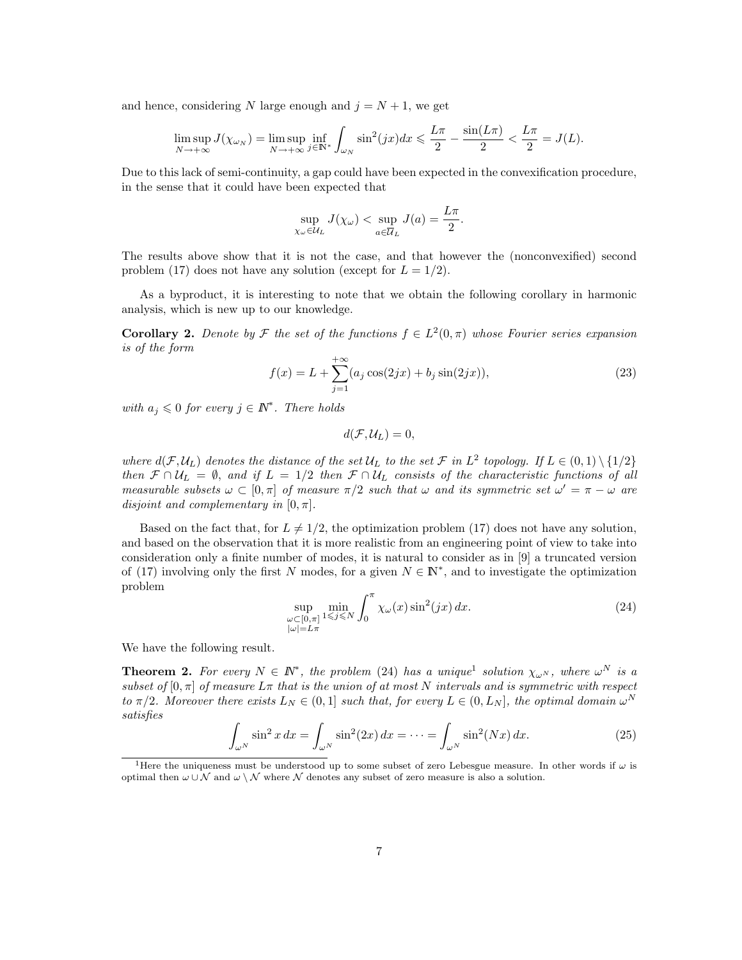and hence, considering N large enough and  $j = N + 1$ , we get

$$
\limsup_{N \to +\infty} J(\chi_{\omega_N}) = \limsup_{N \to +\infty} \inf_{j \in \mathbb{N}^*} \int_{\omega_N} \sin^2(jx) dx \leq \frac{L\pi}{2} - \frac{\sin(L\pi)}{2} < \frac{L\pi}{2} = J(L).
$$

Due to this lack of semi-continuity, a gap could have been expected in the convexification procedure, in the sense that it could have been expected that

$$
\sup_{\chi_{\omega}\in\mathcal{U}_L} J(\chi_{\omega}) < \sup_{a\in\overline{\mathcal{U}}_L} J(a) = \frac{L\pi}{2}.
$$

The results above show that it is not the case, and that however the (nonconvexified) second problem (17) does not have any solution (except for  $L = 1/2$ ).

As a byproduct, it is interesting to note that we obtain the following corollary in harmonic analysis, which is new up to our knowledge.

**Corollary 2.** Denote by F the set of the functions  $f \in L^2(0, \pi)$  whose Fourier series expansion is of the form

$$
f(x) = L + \sum_{j=1}^{+\infty} (a_j \cos(2jx) + b_j \sin(2jx)),
$$
\n(23)

with  $a_j \leq 0$  for every  $j \in \mathbb{N}^*$ . There holds

$$
d(\mathcal{F},\mathcal{U}_L)=0,
$$

where  $d(\mathcal{F}, \mathcal{U}_L)$  denotes the distance of the set  $\mathcal{U}_L$  to the set  $\mathcal{F}$  in  $L^2$  topology. If  $L \in (0,1) \setminus \{1/2\}$ then  $\mathcal{F} \cap \mathcal{U}_L = \emptyset$ , and if  $L = 1/2$  then  $\mathcal{F} \cap \mathcal{U}_L$  consists of the characteristic functions of all measurable subsets  $\omega \subset [0, \pi]$  of measure  $\pi/2$  such that  $\omega$  and its symmetric set  $\omega' = \pi - \omega$  are disjoint and complementary in  $[0, \pi]$ .

Based on the fact that, for  $L \neq 1/2$ , the optimization problem (17) does not have any solution, and based on the observation that it is more realistic from an engineering point of view to take into consideration only a finite number of modes, it is natural to consider as in [9] a truncated version of (17) involving only the first N modes, for a given  $N \in \mathbb{N}^*$ , and to investigate the optimization problem

$$
\sup_{\substack{\omega \subset [0,\pi] \\ |\omega| = L\pi}} \min_{1 \le j \le N} \int_0^\pi \chi_\omega(x) \sin^2(jx) dx.
$$
\n(24)

We have the following result.

**Theorem 2.** For every  $N \in \mathbb{N}^*$ , the problem (24) has a unique<sup>1</sup> solution  $\chi_{\omega^N}$ , where  $\omega^N$  is a subset of  $[0, \pi]$  of measure  $L\pi$  that is the union of at most N intervals and is symmetric with respect to  $\pi/2$ . Moreover there exists  $L_N \in (0,1]$  such that, for every  $L \in (0, L_N]$ , the optimal domain  $\omega^N$ satisfies

$$
\int_{\omega^N} \sin^2 x \, dx = \int_{\omega^N} \sin^2(2x) \, dx = \dots = \int_{\omega^N} \sin^2(Nx) \, dx. \tag{25}
$$

<sup>&</sup>lt;sup>1</sup>Here the uniqueness must be understood up to some subset of zero Lebesgue measure. In other words if  $\omega$  is optimal then  $\omega \cup \mathcal{N}$  and  $\omega \setminus \mathcal{N}$  where  $\mathcal{N}$  denotes any subset of zero measure is also a solution.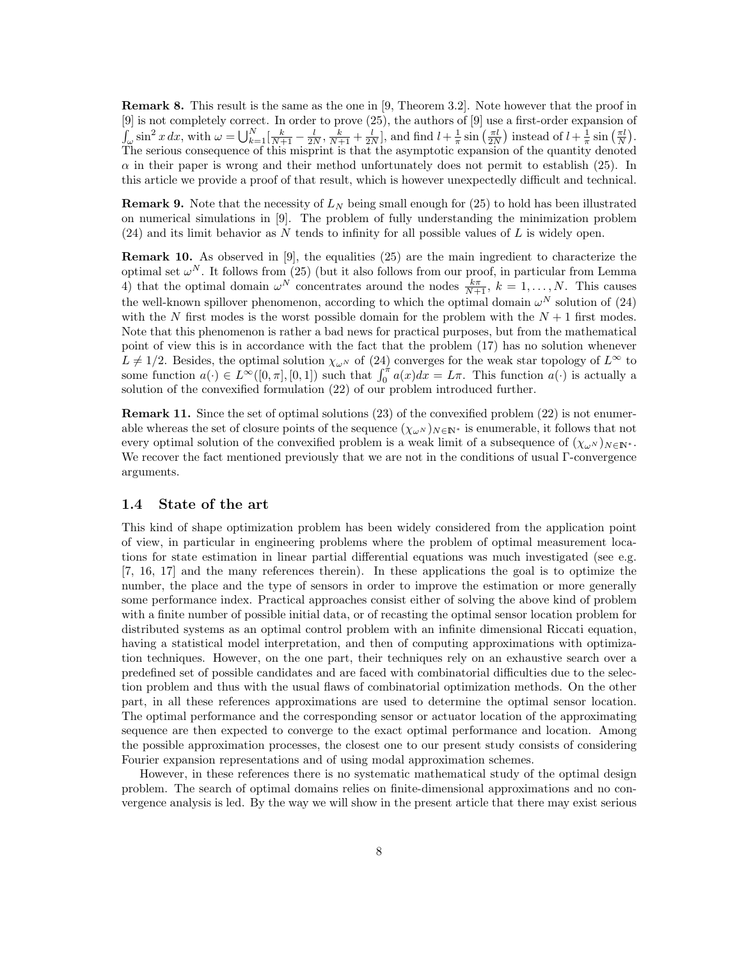Remark 8. This result is the same as the one in [9, Theorem 3.2]. Note however that the proof in [9] is not completely correct. In order to prove (25), the authors of [9] use a first-order expansion of  $\int_{\omega} \sin^2 x \, dx$ , with  $\omega = \bigcup_{k=1}^N \left[ \frac{k}{N+1} - \frac{l}{2N}, \frac{k}{N+1} + \frac{l}{2N} \right]$ , and find  $l + \frac{1}{\pi} \sin \left( \frac{\pi l}{2N} \right)$  instead of  $l + \frac{1}{\pi} \sin \left( \frac{\pi l}{N} \right)$ . The serious consequence of this misprint is that the asymptotic expansion of the quantity denoted  $\alpha$  in their paper is wrong and their method unfortunately does not permit to establish (25). In this article we provide a proof of that result, which is however unexpectedly difficult and technical.

**Remark 9.** Note that the necessity of  $L_N$  being small enough for (25) to hold has been illustrated on numerical simulations in [9]. The problem of fully understanding the minimization problem  $(24)$  and its limit behavior as N tends to infinity for all possible values of L is widely open.

**Remark 10.** As observed in [9], the equalities  $(25)$  are the main ingredient to characterize the optimal set  $\omega^N$ . It follows from (25) (but it also follows from our proof, in particular from Lemma 4) that the optimal domain  $\omega^N$  concentrates around the nodes  $\frac{k\pi}{N+1}$ ,  $k = 1, \ldots, N$ . This causes the well-known spillover phenomenon, according to which the optimal domain  $\omega^N$  solution of (24) with the N first modes is the worst possible domain for the problem with the  $N+1$  first modes. Note that this phenomenon is rather a bad news for practical purposes, but from the mathematical point of view this is in accordance with the fact that the problem (17) has no solution whenever  $L \neq 1/2$ . Besides, the optimal solution  $\chi_{\omega^N}$  of (24) converges for the weak star topology of  $L^{\infty}$  to some function  $a(\cdot) \in L^{\infty}([0, \pi], [0, 1])$  such that  $\int_0^{\pi} a(x) dx = L\pi$ . This function  $a(\cdot)$  is actually a solution of the convexified formulation (22) of our problem introduced further.

Remark 11. Since the set of optimal solutions (23) of the convexified problem (22) is not enumerable whereas the set of closure points of the sequence  $(\chi_{\omega^N})_{N\in\mathbb{N}^*}$  is enumerable, it follows that not every optimal solution of the convexified problem is a weak limit of a subsequence of  $(\chi_{\omega}N)_{N\in\mathbb{N}^*}$ . We recover the fact mentioned previously that we are not in the conditions of usual Γ-convergence arguments.

### 1.4 State of the art

This kind of shape optimization problem has been widely considered from the application point of view, in particular in engineering problems where the problem of optimal measurement locations for state estimation in linear partial differential equations was much investigated (see e.g. [7, 16, 17] and the many references therein). In these applications the goal is to optimize the number, the place and the type of sensors in order to improve the estimation or more generally some performance index. Practical approaches consist either of solving the above kind of problem with a finite number of possible initial data, or of recasting the optimal sensor location problem for distributed systems as an optimal control problem with an infinite dimensional Riccati equation, having a statistical model interpretation, and then of computing approximations with optimization techniques. However, on the one part, their techniques rely on an exhaustive search over a predefined set of possible candidates and are faced with combinatorial difficulties due to the selection problem and thus with the usual flaws of combinatorial optimization methods. On the other part, in all these references approximations are used to determine the optimal sensor location. The optimal performance and the corresponding sensor or actuator location of the approximating sequence are then expected to converge to the exact optimal performance and location. Among the possible approximation processes, the closest one to our present study consists of considering Fourier expansion representations and of using modal approximation schemes.

However, in these references there is no systematic mathematical study of the optimal design problem. The search of optimal domains relies on finite-dimensional approximations and no convergence analysis is led. By the way we will show in the present article that there may exist serious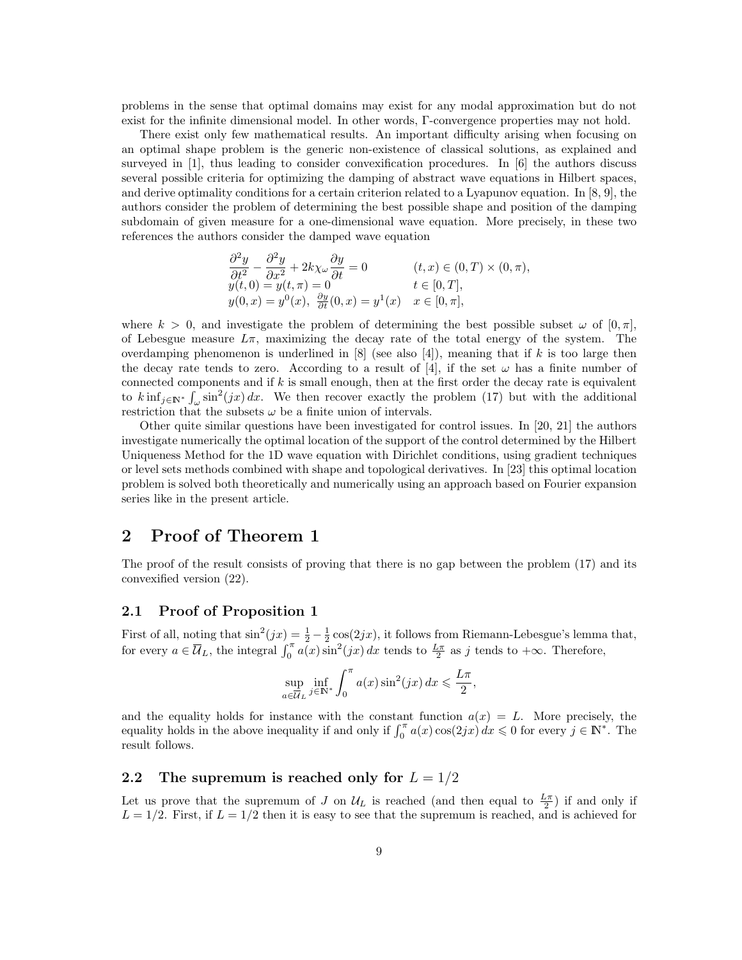problems in the sense that optimal domains may exist for any modal approximation but do not exist for the infinite dimensional model. In other words, Γ-convergence properties may not hold.

There exist only few mathematical results. An important difficulty arising when focusing on an optimal shape problem is the generic non-existence of classical solutions, as explained and surveyed in [1], thus leading to consider convexification procedures. In [6] the authors discuss several possible criteria for optimizing the damping of abstract wave equations in Hilbert spaces, and derive optimality conditions for a certain criterion related to a Lyapunov equation. In [8, 9], the authors consider the problem of determining the best possible shape and position of the damping subdomain of given measure for a one-dimensional wave equation. More precisely, in these two references the authors consider the damped wave equation

$$
\frac{\partial^2 y}{\partial t^2} - \frac{\partial^2 y}{\partial x^2} + 2k\chi_\omega \frac{\partial y}{\partial t} = 0 \qquad (t, x) \in (0, T) \times (0, \pi),
$$
  
\n
$$
y(t, 0) = y(t, \pi) = 0 \qquad t \in [0, T],
$$
  
\n
$$
y(0, x) = y^0(x), \frac{\partial y}{\partial t}(0, x) = y^1(x) \qquad x \in [0, \pi],
$$

where  $k > 0$ , and investigate the problem of determining the best possible subset  $\omega$  of  $[0, \pi]$ , of Lebesgue measure  $L\pi$ , maximizing the decay rate of the total energy of the system. The overdamping phenomenon is underlined in  $[8]$  (see also [4]), meaning that if k is too large then the decay rate tends to zero. According to a result of [4], if the set  $\omega$  has a finite number of connected components and if  $k$  is small enough, then at the first order the decay rate is equivalent to  $k \inf_{j \in \mathbb{N}^*} \int_{\omega} \sin^2(jx) dx$ . We then recover exactly the problem (17) but with the additional restriction that the subsets  $\omega$  be a finite union of intervals.

Other quite similar questions have been investigated for control issues. In [20, 21] the authors investigate numerically the optimal location of the support of the control determined by the Hilbert Uniqueness Method for the 1D wave equation with Dirichlet conditions, using gradient techniques or level sets methods combined with shape and topological derivatives. In [23] this optimal location problem is solved both theoretically and numerically using an approach based on Fourier expansion series like in the present article.

## 2 Proof of Theorem 1

The proof of the result consists of proving that there is no gap between the problem (17) and its convexified version (22).

### 2.1 Proof of Proposition 1

First of all, noting that  $\sin^2(jx) = \frac{1}{2} - \frac{1}{2}\cos(2jx)$ , it follows from Riemann-Lebesgue's lemma that, for every  $a \in \overline{\mathcal{U}}_L$ , the integral  $\int_0^{\pi} a(x) \sin^2(jx) dx$  tends to  $\frac{L\pi}{2}$  as j tends to  $+\infty$ . Therefore,

$$
\sup_{a \in \overline{U}_L} \inf_{j \in \mathbb{N}^*} \int_0^{\pi} a(x) \sin^2(jx) \, dx \leqslant \frac{L\pi}{2},
$$

and the equality holds for instance with the constant function  $a(x) = L$ . More precisely, the equality holds in the above inequality if and only if  $\int_0^{\pi} a(x) \cos(2ix) dx \leq 0$  for every  $j \in \mathbb{N}^*$ . The result follows.

### 2.2 The supremum is reached only for  $L = 1/2$

Let us prove that the supremum of J on  $\mathcal{U}_L$  is reached (and then equal to  $\frac{L\pi}{2}$ ) if and only if  $L = 1/2$ . First, if  $L = 1/2$  then it is easy to see that the supremum is reached, and is achieved for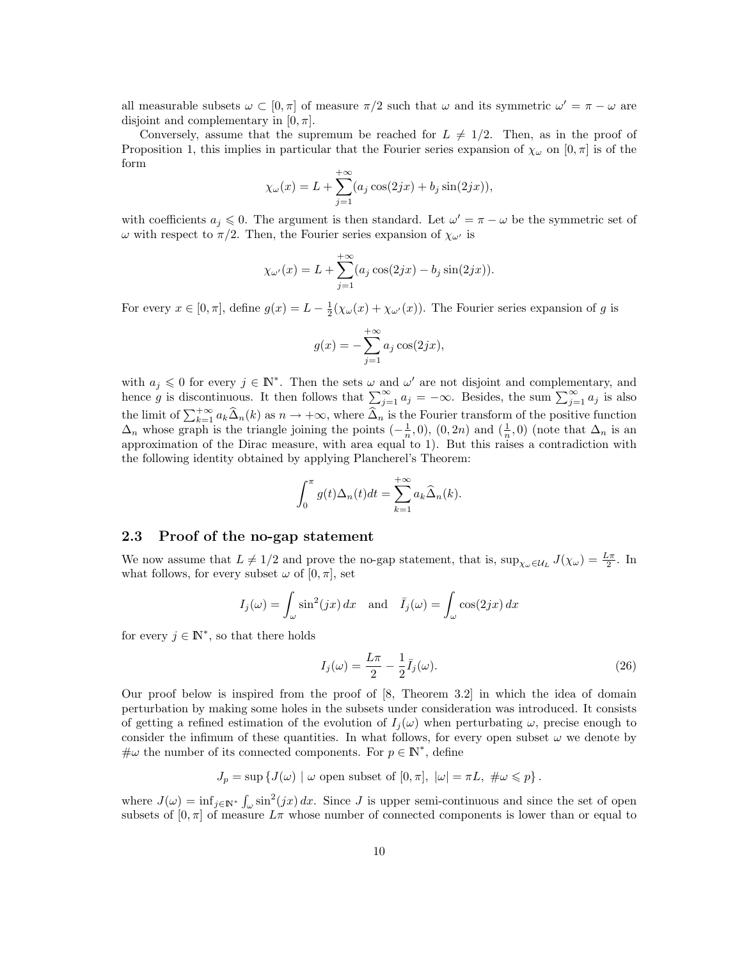all measurable subsets  $\omega \subset [0, \pi]$  of measure  $\pi/2$  such that  $\omega$  and its symmetric  $\omega' = \pi - \omega$  are disjoint and complementary in  $[0, \pi]$ .

Conversely, assume that the supremum be reached for  $L \neq 1/2$ . Then, as in the proof of Proposition 1, this implies in particular that the Fourier series expansion of  $\chi_{\omega}$  on  $[0, \pi]$  is of the form

$$
\chi_{\omega}(x) = L + \sum_{j=1}^{+\infty} (a_j \cos(2jx) + b_j \sin(2jx)),
$$

with coefficients  $a_j \leq 0$ . The argument is then standard. Let  $\omega' = \pi - \omega$  be the symmetric set of ω with respect to  $\pi/2$ . Then, the Fourier series expansion of  $\chi_{\omega'}$  is

$$
\chi_{\omega'}(x) = L + \sum_{j=1}^{+\infty} (a_j \cos(2jx) - b_j \sin(2jx)).
$$

For every  $x \in [0, \pi]$ , define  $g(x) = L - \frac{1}{2}(\chi_{\omega}(x) + \chi_{\omega}(x))$ . The Fourier series expansion of g is

$$
g(x) = -\sum_{j=1}^{+\infty} a_j \cos(2jx),
$$

with  $a_j \leq 0$  for every  $j \in \mathbb{N}^*$ . Then the sets  $\omega$  and  $\omega'$  are not disjoint and complementary, and hence g is discontinuous. It then follows that  $\sum_{j=1}^{\infty} a_j = -\infty$ . Besides, the sum  $\sum_{j=1}^{\infty} a_j$  is also the limit of  $\sum_{k=1}^{+\infty} a_k \widehat{\Delta}_n(k)$  as  $n \to +\infty$ , where  $\widehat{\Delta}_n$  is the Fourier transform of the positive function  $\Delta_n$  whose graph is the triangle joining the points  $(-\frac{1}{n},0)$ ,  $(0,2n)$  and  $(\frac{1}{n},0)$  (note that  $\Delta_n$  is an approximation of the Dirac measure, with area equal to 1). But this raises a contradiction with the following identity obtained by applying Plancherel's Theorem:

$$
\int_0^{\pi} g(t)\Delta_n(t)dt = \sum_{k=1}^{+\infty} a_k \widehat{\Delta}_n(k).
$$

#### 2.3 Proof of the no-gap statement

We now assume that  $L \neq 1/2$  and prove the no-gap statement, that is,  $\sup_{\chi_\omega \in \mathcal{U}_L} J(\chi_\omega) = \frac{L\pi}{2}$ . In what follows, for every subset  $\omega$  of  $[0, \pi]$ , set

$$
I_j(\omega) = \int_{\omega} \sin^2(jx) \, dx \quad \text{and} \quad \bar{I}_j(\omega) = \int_{\omega} \cos(2jx) \, dx
$$

for every  $j \in \mathbb{N}^*$ , so that there holds

$$
I_j(\omega) = \frac{L\pi}{2} - \frac{1}{2}\bar{I}_j(\omega).
$$
\n(26)

Our proof below is inspired from the proof of [8, Theorem 3.2] in which the idea of domain perturbation by making some holes in the subsets under consideration was introduced. It consists of getting a refined estimation of the evolution of  $I_j(\omega)$  when perturbating  $\omega$ , precise enough to consider the infimum of these quantities. In what follows, for every open subset  $\omega$  we denote by  $\#\omega$  the number of its connected components. For  $p \in \mathbb{N}^*$ , define

$$
J_p = \sup \{ J(\omega) \mid \omega \text{ open subset of } [0, \pi], \ |\omega| = \pi L, \ \#\omega \leqslant p \}.
$$

where  $J(\omega) = \inf_{j \in \mathbb{N}^*} \int_{\omega} \sin^2(jx) dx$ . Since J is upper semi-continuous and since the set of open subsets of  $[0, \pi]$  of measure  $L\pi$  whose number of connected components is lower than or equal to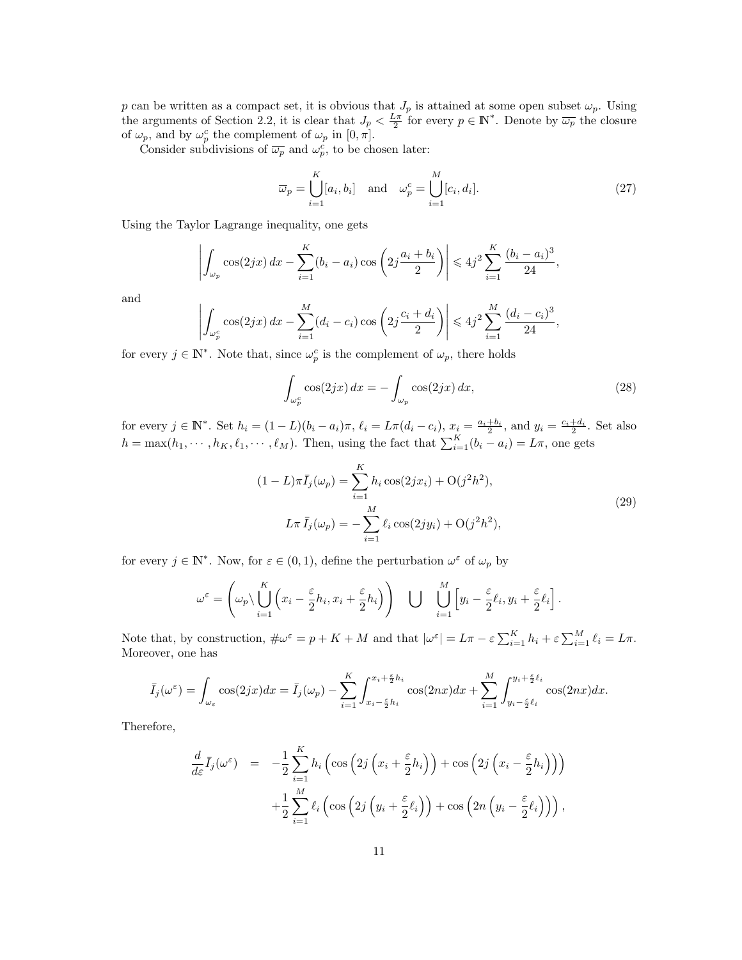p can be written as a compact set, it is obvious that  $J_p$  is attained at some open subset  $\omega_p$ . Using the arguments of Section 2.2, it is clear that  $J_p < \frac{L\pi}{2}$  for every  $p \in \mathbb{N}^*$ . Denote by  $\overline{\omega_p}$  the closure of  $\omega_p$ , and by  $\omega_p^c$  the complement of  $\omega_p$  in  $[0, \pi]$ .

Consider subdivisions of  $\overline{\omega_p}$  and  $\omega_p^c$ , to be chosen later:

$$
\overline{\omega}_p = \bigcup_{i=1}^K [a_i, b_i] \quad \text{and} \quad \omega_p^c = \bigcup_{i=1}^M [c_i, d_i]. \tag{27}
$$

Using the Taylor Lagrange inequality, one gets

$$
\left| \int_{\omega_p} \cos(2jx) \, dx - \sum_{i=1}^K (b_i - a_i) \cos\left(2j \frac{a_i + b_i}{2}\right) \right| \leq 4j^2 \sum_{i=1}^K \frac{(b_i - a_i)^3}{24},
$$

and

$$
\left| \int_{\omega_p^c} \cos(2jx) \, dx - \sum_{i=1}^M (d_i - c_i) \cos\left(2j \frac{c_i + d_i}{2}\right) \right| \leq 4j^2 \sum_{i=1}^M \frac{(d_i - c_i)^3}{24},
$$

for every  $j \in \mathbb{N}^*$ . Note that, since  $\omega_p^c$  is the complement of  $\omega_p$ , there holds

$$
\int_{\omega_p^c} \cos(2jx) \, dx = -\int_{\omega_p} \cos(2jx) \, dx,\tag{28}
$$

for every  $j \in \mathbb{N}^*$ . Set  $h_i = (1 - L)(b_i - a_i)\pi$ ,  $\ell_i = L\pi(d_i - c_i)$ ,  $x_i = \frac{a_i + b_i}{2}$ , and  $y_i = \frac{c_i + d_i}{2}$ . Set also  $h = \max(h_1, \dots, h_K, \ell_1, \dots, \ell_M)$ . Then, using the fact that  $\sum_{i=1}^K (b_i - a_i) = L\pi$ , one gets

$$
(1 - L)\pi \bar{I}_j(\omega_p) = \sum_{i=1}^K h_i \cos(2jx_i) + \mathcal{O}(j^2 h^2),
$$
  

$$
L\pi \bar{I}_j(\omega_p) = -\sum_{i=1}^M \ell_i \cos(2jy_i) + \mathcal{O}(j^2 h^2),
$$
 (29)

for every  $j \in \mathbb{N}^*$ . Now, for  $\varepsilon \in (0,1)$ , define the perturbation  $\omega^{\varepsilon}$  of  $\omega_p$  by

$$
\omega^{\varepsilon} = \left(\omega_p \setminus \bigcup_{i=1}^K \left(x_i - \frac{\varepsilon}{2} h_i, x_i + \frac{\varepsilon}{2} h_i\right)\right) \quad \bigcup \quad \bigcup_{i=1}^M \left[y_i - \frac{\varepsilon}{2} \ell_i, y_i + \frac{\varepsilon}{2} \ell_i\right].
$$

Note that, by construction,  $\#\omega^{\varepsilon} = p + K + M$  and that  $|\omega^{\varepsilon}| = L\pi - \varepsilon \sum_{i=1}^{K} h_i + \varepsilon \sum_{i=1}^{M} \ell_i = L\pi$ . Moreover, one has

$$
\bar{I}_j(\omega^{\varepsilon}) = \int_{\omega_{\varepsilon}} \cos(2jx) dx = \bar{I}_j(\omega_p) - \sum_{i=1}^K \int_{x_i - \frac{\varepsilon}{2}h_i}^{x_i + \frac{\varepsilon}{2}h_i} \cos(2nx) dx + \sum_{i=1}^M \int_{y_i - \frac{\varepsilon}{2}\ell_i}^{y_i + \frac{\varepsilon}{2}\ell_i} \cos(2nx) dx.
$$

Therefore,

$$
\frac{d}{d\varepsilon}\bar{I}_j(\omega^{\varepsilon}) = -\frac{1}{2}\sum_{i=1}^K h_i\left(\cos\left(2j\left(x_i + \frac{\varepsilon}{2}h_i\right)\right) + \cos\left(2j\left(x_i - \frac{\varepsilon}{2}h_i\right)\right)\right) \n+ \frac{1}{2}\sum_{i=1}^M \ell_i\left(\cos\left(2j\left(y_i + \frac{\varepsilon}{2}\ell_i\right)\right) + \cos\left(2n\left(y_i - \frac{\varepsilon}{2}\ell_i\right)\right)\right),
$$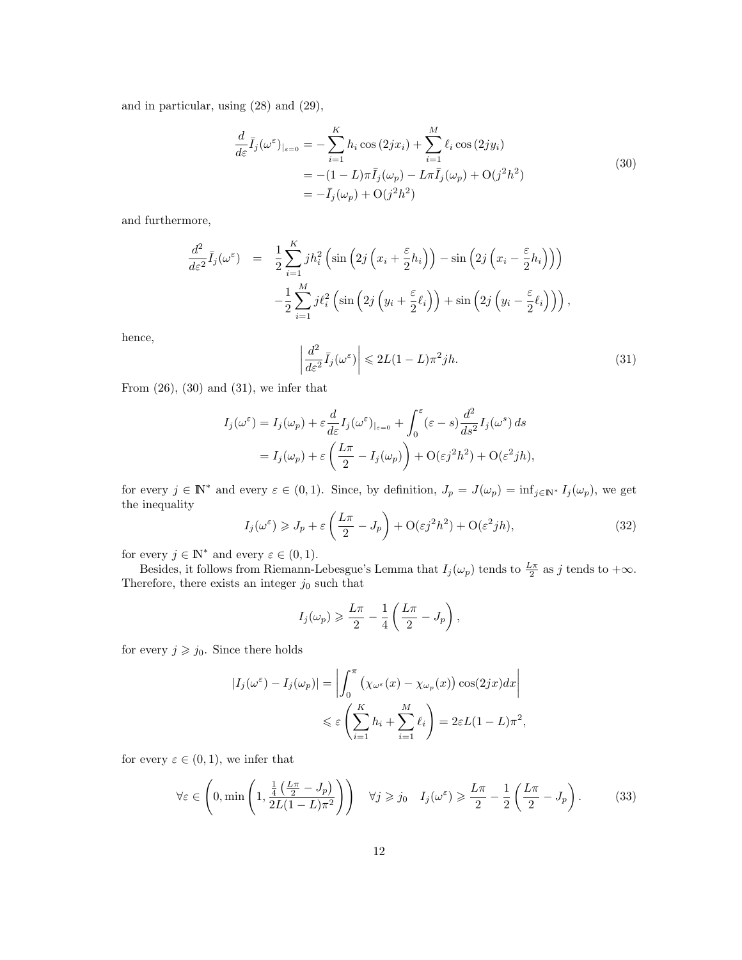and in particular, using (28) and (29),

$$
\frac{d}{d\varepsilon}\bar{I}_j(\omega^{\varepsilon})_{|\varepsilon=0} = -\sum_{i=1}^K h_i \cos(2jx_i) + \sum_{i=1}^M \ell_i \cos(2jy_i) \n= -(1 - L)\pi \bar{I}_j(\omega_p) - L\pi \bar{I}_j(\omega_p) + O(j^2h^2) \n= -\bar{I}_j(\omega_p) + O(j^2h^2)
$$
\n(30)

and furthermore,

$$
\frac{d^2}{d\varepsilon^2} \bar{I}_j(\omega^{\varepsilon}) = \frac{1}{2} \sum_{i=1}^K j h_i^2 \left( \sin \left( 2j \left( x_i + \frac{\varepsilon}{2} h_i \right) \right) - \sin \left( 2j \left( x_i - \frac{\varepsilon}{2} h_i \right) \right) \right) \n- \frac{1}{2} \sum_{i=1}^M j \ell_i^2 \left( \sin \left( 2j \left( y_i + \frac{\varepsilon}{2} \ell_i \right) \right) + \sin \left( 2j \left( y_i - \frac{\varepsilon}{2} \ell_i \right) \right) \right),
$$

hence,

$$
\left| \frac{d^2}{d\varepsilon^2} \bar{I}_j(\omega^\varepsilon) \right| \leqslant 2L(1-L)\pi^2 j h. \tag{31}
$$

From  $(26)$ ,  $(30)$  and  $(31)$ , we infer that

$$
I_j(\omega^{\varepsilon}) = I_j(\omega_p) + \varepsilon \frac{d}{d\varepsilon} I_j(\omega^{\varepsilon})_{|\varepsilon=0} + \int_0^{\varepsilon} (\varepsilon - s) \frac{d^2}{ds^2} I_j(\omega^s) ds
$$
  
=  $I_j(\omega_p) + \varepsilon \left( \frac{L\pi}{2} - I_j(\omega_p) \right) + \mathcal{O}(\varepsilon j^2 h^2) + \mathcal{O}(\varepsilon^2 j h),$ 

for every  $j \in \mathbb{N}^*$  and every  $\varepsilon \in (0,1)$ . Since, by definition,  $J_p = J(\omega_p) = \inf_{j \in \mathbb{N}^*} I_j(\omega_p)$ , we get the inequality

$$
I_j(\omega^{\varepsilon}) \geqslant J_p + \varepsilon \left(\frac{L\pi}{2} - J_p\right) + \mathcal{O}(\varepsilon j^2 h^2) + \mathcal{O}(\varepsilon^2 j h),\tag{32}
$$

for every  $j \in \mathbb{N}^*$  and every  $\varepsilon \in (0,1)$ .

Besides, it follows from Riemann-Lebesgue's Lemma that  $I_j(\omega_p)$  tends to  $\frac{L\pi}{2}$  as j tends to  $+\infty$ . Therefore, there exists an integer  $j_0$  such that

$$
I_j(\omega_p) \geqslant \frac{L\pi}{2} - \frac{1}{4} \left( \frac{L\pi}{2} - J_p \right),
$$

for every  $j \geqslant j_0$ . Since there holds

$$
|I_j(\omega^{\varepsilon}) - I_j(\omega_p)| = \left| \int_0^{\pi} \left( \chi_{\omega^{\varepsilon}}(x) - \chi_{\omega_p}(x) \right) \cos(2jx) dx \right|
$$
  

$$
\leq \varepsilon \left( \sum_{i=1}^K h_i + \sum_{i=1}^M \ell_i \right) = 2\varepsilon L(1 - L)\pi^2,
$$

for every  $\varepsilon \in (0,1)$ , we infer that

$$
\forall \varepsilon \in \left(0, \min\left(1, \frac{\frac{1}{4}\left(\frac{L\pi}{2} - J_p\right)}{2L(1 - L)\pi^2}\right)\right) \quad \forall j \geqslant j_0 \quad I_j(\omega^{\varepsilon}) \geqslant \frac{L\pi}{2} - \frac{1}{2}\left(\frac{L\pi}{2} - J_p\right). \tag{33}
$$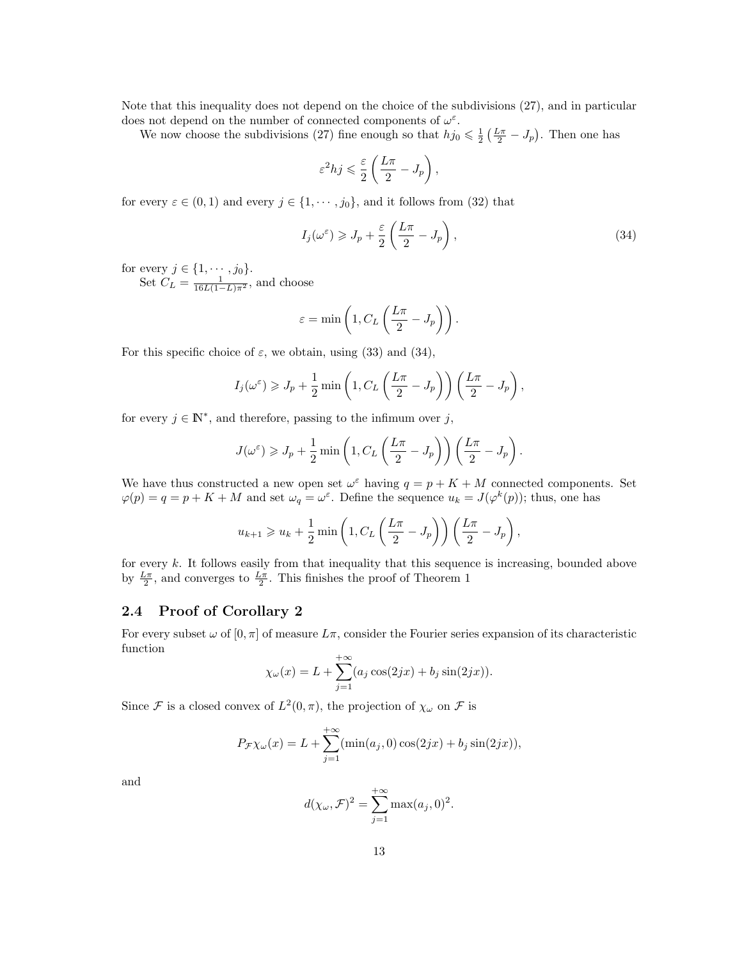Note that this inequality does not depend on the choice of the subdivisions (27), and in particular does not depend on the number of connected components of  $\omega^{\varepsilon}$ .

We now choose the subdivisions (27) fine enough so that  $hj_0 \leq \frac{1}{2} \left(\frac{L\pi}{2} - J_p\right)$ . Then one has

$$
\varepsilon^2 h j \leqslant \frac{\varepsilon}{2} \left( \frac{L\pi}{2} - J_p \right)
$$

for every  $\varepsilon \in (0,1)$  and every  $j \in \{1, \cdots, j_0\}$ , and it follows from  $(32)$  that

$$
I_j(\omega^{\varepsilon}) \geqslant J_p + \frac{\varepsilon}{2} \left( \frac{L\pi}{2} - J_p \right),\tag{34}
$$

,

for every  $j \in \{1, \cdots, j_0\}.$ 

Set  $C_L = \frac{1}{16L(1-L)\pi^2}$ , and choose

$$
\varepsilon = \min\left(1, C_L\left(\frac{L\pi}{2} - J_p\right)\right).
$$

For this specific choice of  $\varepsilon$ , we obtain, using (33) and (34),

$$
I_j(\omega^{\varepsilon}) \geq J_p + \frac{1}{2} \min \left( 1, C_L \left( \frac{L\pi}{2} - J_p \right) \right) \left( \frac{L\pi}{2} - J_p \right),
$$

for every  $j \in \mathbb{N}^*$ , and therefore, passing to the infimum over j,

$$
J(\omega^{\varepsilon}) \geq J_p + \frac{1}{2} \min \left( 1, C_L \left( \frac{L\pi}{2} - J_p \right) \right) \left( \frac{L\pi}{2} - J_p \right).
$$

We have thus constructed a new open set  $\omega^{\varepsilon}$  having  $q = p + K + M$  connected components. Set  $\varphi(p) = q = p + K + M$  and set  $\omega_q = \omega^{\varepsilon}$ . Define the sequence  $u_k = J(\varphi^k(p))$ ; thus, one has

$$
u_{k+1} \geq u_k + \frac{1}{2} \min \left( 1, C_L \left( \frac{L\pi}{2} - J_p \right) \right) \left( \frac{L\pi}{2} - J_p \right),
$$

for every  $k$ . It follows easily from that inequality that this sequence is increasing, bounded above by  $\frac{L\pi}{2}$ , and converges to  $\frac{L\pi}{2}$ . This finishes the proof of Theorem 1

### 2.4 Proof of Corollary 2

For every subset  $\omega$  of  $[0, \pi]$  of measure  $L\pi$ , consider the Fourier series expansion of its characteristic function

$$
\chi_{\omega}(x) = L + \sum_{j=1}^{+\infty} (a_j \cos(2jx) + b_j \sin(2jx)).
$$

Since F is a closed convex of  $L^2(0, \pi)$ , the projection of  $\chi_{\omega}$  on F is

$$
P_{\mathcal{F}} \chi_{\omega}(x) = L + \sum_{j=1}^{+\infty} (\min(a_j, 0) \cos(2jx) + b_j \sin(2jx)),
$$

and

$$
d(\chi_{\omega}, \mathcal{F})^2 = \sum_{j=1}^{+\infty} \max(a_j, 0)^2.
$$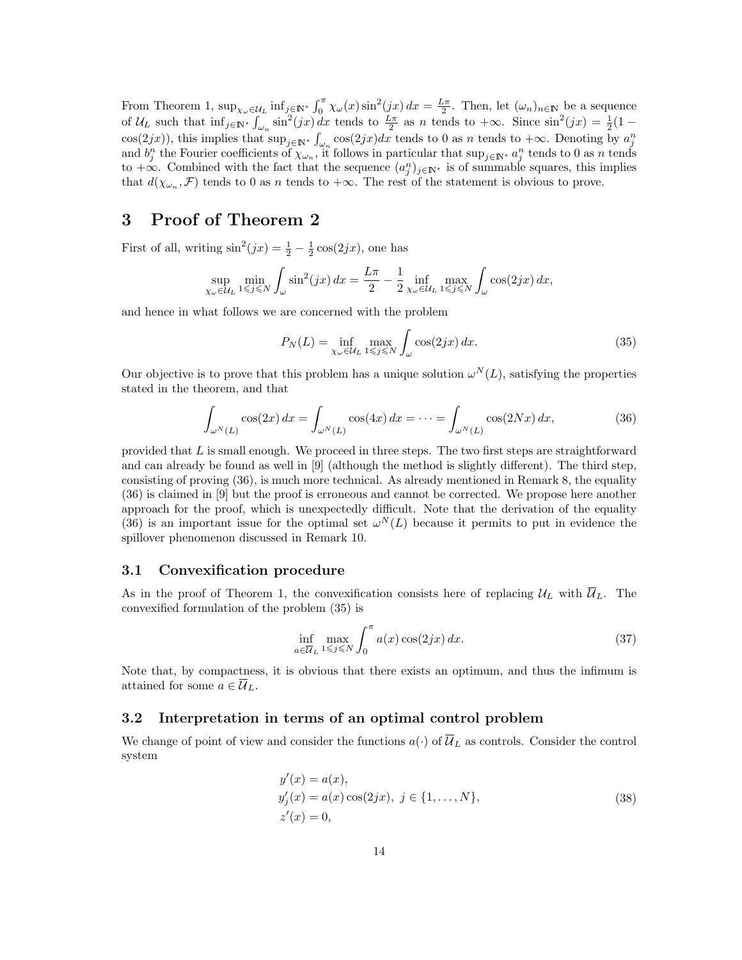From Theorem 1,  $\sup_{\chi_{\omega}\in\mathcal{U}_L} \inf_{j\in\mathbb{N}^*} \int_0^{\pi} \chi_{\omega}(x) \sin^2(jx) dx = \frac{L\pi}{2}$ . Then, let  $(\omega_n)_{n\in\mathbb{N}}$  be a sequence of  $\mathcal{U}_L$  such that  $\inf_{j \in \mathbb{N}^*} \int_{\omega_n} \sin^2(jx) dx$  tends to  $\frac{L\pi}{2}$  as n tends to  $+\infty$ . Since  $\sin^2(jx) = \frac{1}{2}(1$  $cos(2jx)$ , this implies that  $sup_{j \in \mathbb{N}^*} \int_{\omega_n} cos(2jx)dx$  tends to 0 as n tends to  $+\infty$ . Denoting by  $a_j^n$  and  $b_j^n$  the Fourier coefficients of  $\chi_{\omega_n}$ , it follows in particular that  $sup_{j \in \mathbb{N}^*} a_j^n$  tends to 0 as to  $+\infty$ . Combined with the fact that the sequence  $(a_j^n)_{j\in\mathbb{N}^*}$  is of summable squares, this implies that  $d(\chi_{\omega_n}, \mathcal{F})$  tends to 0 as n tends to  $+\infty$ . The rest of the statement is obvious to prove.

# 3 Proof of Theorem 2

First of all, writing  $\sin^2(jx) = \frac{1}{2} - \frac{1}{2}\cos(2jx)$ , one has

$$
\sup_{\chi_{\omega}\in\mathcal{U}_{L}}\min_{1\leqslant j\leqslant N}\int_{\omega}\sin^{2}(jx)\,dx=\frac{L\pi}{2}-\frac{1}{2}\inf_{\chi_{\omega}\in\mathcal{U}_{L}}\max_{1\leqslant j\leqslant N}\int_{\omega}\cos(2jx)\,dx,
$$

and hence in what follows we are concerned with the problem

$$
P_N(L) = \inf_{\chi_{\omega} \in \mathcal{U}_L} \max_{1 \le j \le N} \int_{\omega} \cos(2jx) \, dx. \tag{35}
$$

Our objective is to prove that this problem has a unique solution  $\omega^N(L)$ , satisfying the properties stated in the theorem, and that

$$
\int_{\omega^N(L)} \cos(2x) dx = \int_{\omega^N(L)} \cos(4x) dx = \dots = \int_{\omega^N(L)} \cos(2Nx) dx,
$$
\n(36)

provided that  $L$  is small enough. We proceed in three steps. The two first steps are straightforward and can already be found as well in [9] (although the method is slightly different). The third step, consisting of proving (36), is much more technical. As already mentioned in Remark 8, the equality (36) is claimed in [9] but the proof is erroneous and cannot be corrected. We propose here another approach for the proof, which is unexpectedly difficult. Note that the derivation of the equality (36) is an important issue for the optimal set  $\omega^N(L)$  because it permits to put in evidence the spillover phenomenon discussed in Remark 10.

### 3.1 Convexification procedure

As in the proof of Theorem 1, the convexification consists here of replacing  $\mathcal{U}_L$  with  $\overline{\mathcal{U}}_L$ . The convexified formulation of the problem (35) is

$$
\inf_{a \in \overline{U}_L} \max_{1 \le j \le N} \int_0^\pi a(x) \cos(2jx) \, dx. \tag{37}
$$

Note that, by compactness, it is obvious that there exists an optimum, and thus the infimum is attained for some  $a \in \overline{\mathcal{U}}_L$ .

### 3.2 Interpretation in terms of an optimal control problem

We change of point of view and consider the functions  $a(\cdot)$  of  $\overline{U}_L$  as controls. Consider the control system

$$
y'(x) = a(x),
$$
  
\n
$$
y'_{j}(x) = a(x) \cos(2jx), \ j \in \{1, ..., N\},
$$
  
\n
$$
z'(x) = 0,
$$
\n(38)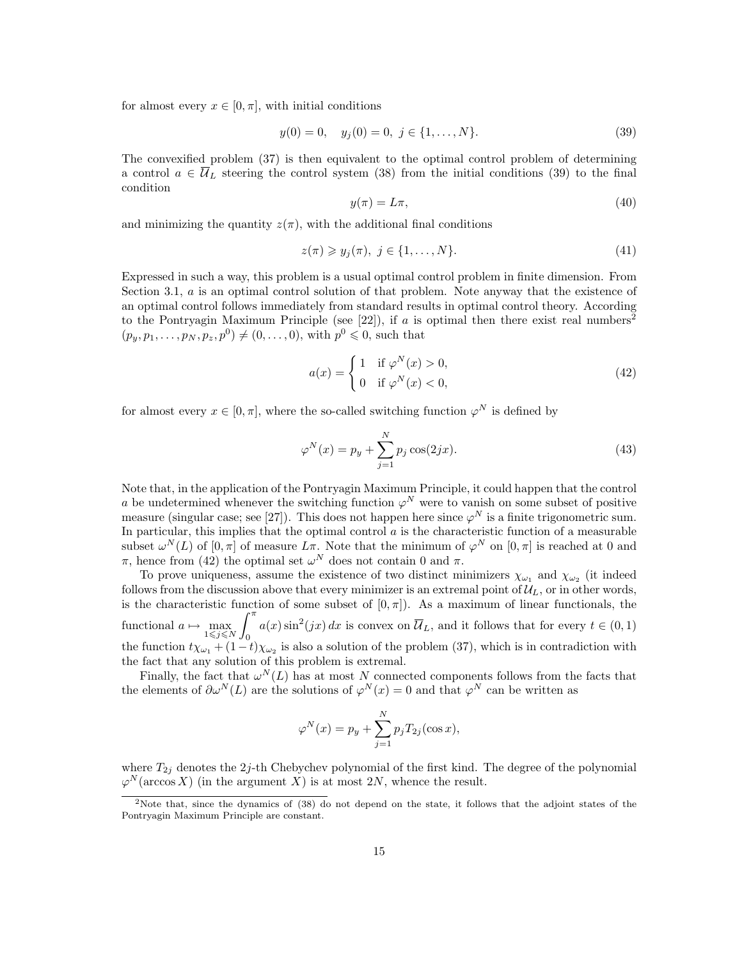for almost every  $x \in [0, \pi]$ , with initial conditions

$$
y(0) = 0, \quad y_j(0) = 0, \ j \in \{1, \dots, N\}.
$$
\n(39)

The convexified problem (37) is then equivalent to the optimal control problem of determining a control  $a \in \overline{\mathcal{U}}_L$  steering the control system (38) from the initial conditions (39) to the final condition

$$
y(\pi) = L\pi,\tag{40}
$$

and minimizing the quantity  $z(\pi)$ , with the additional final conditions

$$
z(\pi) \geqslant y_j(\pi), \ j \in \{1, \dots, N\}.
$$
\n
$$
(41)
$$

Expressed in such a way, this problem is a usual optimal control problem in finite dimension. From Section 3.1, *a* is an optimal control solution of that problem. Note anyway that the existence of an optimal control follows immediately from standard results in optimal control theory. According to the Pontryagin Maximum Principle (see [22]), if a is optimal then there exist real numbers<sup>2</sup>  $(p_y, p_1, \ldots, p_N, p_z, p^0) \neq (0, \ldots, 0)$ , with  $p^0 \leq 0$ , such that

$$
a(x) = \begin{cases} 1 & \text{if } \varphi^N(x) > 0, \\ 0 & \text{if } \varphi^N(x) < 0, \end{cases}
$$
 (42)

for almost every  $x \in [0, \pi]$ , where the so-called switching function  $\varphi^N$  is defined by

$$
\varphi^{N}(x) = p_{y} + \sum_{j=1}^{N} p_{j} \cos(2jx). \tag{43}
$$

Note that, in the application of the Pontryagin Maximum Principle, it could happen that the control a be undetermined whenever the switching function  $\varphi^N$  were to vanish on some subset of positive measure (singular case; see [27]). This does not happen here since  $\varphi^N$  is a finite trigonometric sum. In particular, this implies that the optimal control  $a$  is the characteristic function of a measurable subset  $\omega^N(L)$  of  $[0, \pi]$  of measure  $L\pi$ . Note that the minimum of  $\varphi^N$  on  $[0, \pi]$  is reached at 0 and  $\pi$ , hence from (42) the optimal set  $\omega^N$  does not contain 0 and  $\pi$ .

To prove uniqueness, assume the existence of two distinct minimizers  $\chi_{\omega_1}$  and  $\chi_{\omega_2}$  (it indeed follows from the discussion above that every minimizer is an extremal point of  $\mathcal{U}_L$ , or in other words, is the characteristic function of some subset of  $[0, \pi]$ ). As a maximum of linear functionals, the functional  $a \mapsto \max_{1 \leq j \leq N}$  $\int_0^\pi$ 0  $a(x)\sin^2(jx) dx$  is convex on  $\overline{\mathcal{U}}_L$ , and it follows that for every  $t \in (0,1)$ the function  $t\chi_{\omega_1} + (1-t)\chi_{\omega_2}$  is also a solution of the problem (37), which is in contradiction with the fact that any solution of this problem is extremal.

Finally, the fact that  $\omega^N(L)$  has at most N connected components follows from the facts that the elements of  $\partial \omega^N(L)$  are the solutions of  $\varphi^N(x) = 0$  and that  $\varphi^N$  can be written as

$$
\varphi^N(x) = p_y + \sum_{j=1}^N p_j T_{2j}(\cos x),
$$

where  $T_{2i}$  denotes the 2j-th Chebychev polynomial of the first kind. The degree of the polynomial  $\varphi^N(\arccos X)$  (in the argument X) is at most 2N, whence the result.

<sup>&</sup>lt;sup>2</sup>Note that, since the dynamics of (38) do not depend on the state, it follows that the adjoint states of the Pontryagin Maximum Principle are constant.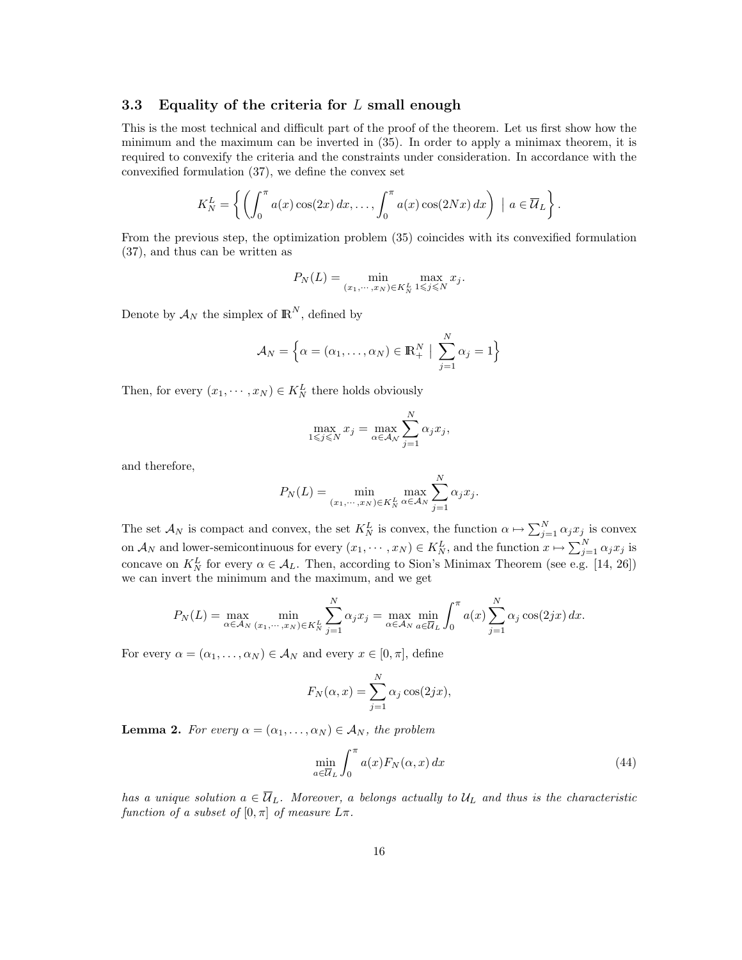### 3.3 Equality of the criteria for  $L$  small enough

This is the most technical and difficult part of the proof of the theorem. Let us first show how the minimum and the maximum can be inverted in (35). In order to apply a minimax theorem, it is required to convexify the criteria and the constraints under consideration. In accordance with the convexified formulation (37), we define the convex set

$$
K_N^L = \left\{ \left( \int_0^{\pi} a(x) \cos(2x) dx, \ldots, \int_0^{\pi} a(x) \cos(2Nx) dx \right) \mid a \in \overline{\mathcal{U}}_L \right\}.
$$

From the previous step, the optimization problem (35) coincides with its convexified formulation (37), and thus can be written as

$$
P_N(L) = \min_{(x_1,\dots,x_N)\in K_N^L} \max_{1\leqslant j\leqslant N} x_j.
$$

Denote by  $\mathcal{A}_N$  the simplex of  $\mathbb{R}^N$ , defined by

$$
\mathcal{A}_N = \left\{ \alpha = (\alpha_1, \dots, \alpha_N) \in \mathbb{R}_+^N \middle| \sum_{j=1}^N \alpha_j = 1 \right\}
$$

Then, for every  $(x_1, \dots, x_N) \in K_N^L$  there holds obviously

$$
\max_{1 \leq j \leq N} x_j = \max_{\alpha \in \mathcal{A}_N} \sum_{j=1}^N \alpha_j x_j,
$$

and therefore,

$$
P_N(L) = \min_{(x_1,\cdots,x_N)\in K_N^L} \max_{\alpha\in A_N} \sum_{j=1}^N \alpha_j x_j.
$$

The set  $\mathcal{A}_N$  is compact and convex, the set  $K_N^L$  is convex, the function  $\alpha \mapsto \sum_{j=1}^N \alpha_j x_j$  is convex on  $\mathcal{A}_N$  and lower-semicontinuous for every  $(x_1, \dots, x_N) \in K_N^L$ , and the function  $x \mapsto \sum_{j=1}^N \alpha_j x_j$  is concave on  $K_N^L$  for every  $\alpha \in \mathcal{A}_L$ . Then, according to Sion's Minimax Theorem (see e.g. [14, 26]) we can invert the minimum and the maximum, and we get

$$
P_N(L) = \max_{\alpha \in \mathcal{A}_N} \min_{(x_1, \cdots, x_N) \in K_N^L} \sum_{j=1}^N \alpha_j x_j = \max_{\alpha \in \mathcal{A}_N} \min_{a \in \overline{\mathcal{U}}_L} \int_0^{\pi} a(x) \sum_{j=1}^N \alpha_j \cos(2jx) dx.
$$

For every  $\alpha = (\alpha_1, \dots, \alpha_N) \in \mathcal{A}_N$  and every  $x \in [0, \pi]$ , define

$$
F_N(\alpha, x) = \sum_{j=1}^N \alpha_j \cos(2jx),
$$

**Lemma 2.** For every  $\alpha = (\alpha_1, \ldots, \alpha_N) \in \mathcal{A}_N$ , the problem

$$
\min_{a \in \overline{U}_L} \int_0^\pi a(x) F_N(\alpha, x) \, dx \tag{44}
$$

has a unique solution  $a \in \overline{U}_L$ . Moreover, a belongs actually to  $U_L$  and thus is the characteristic function of a subset of  $[0, \pi]$  of measure  $L\pi$ .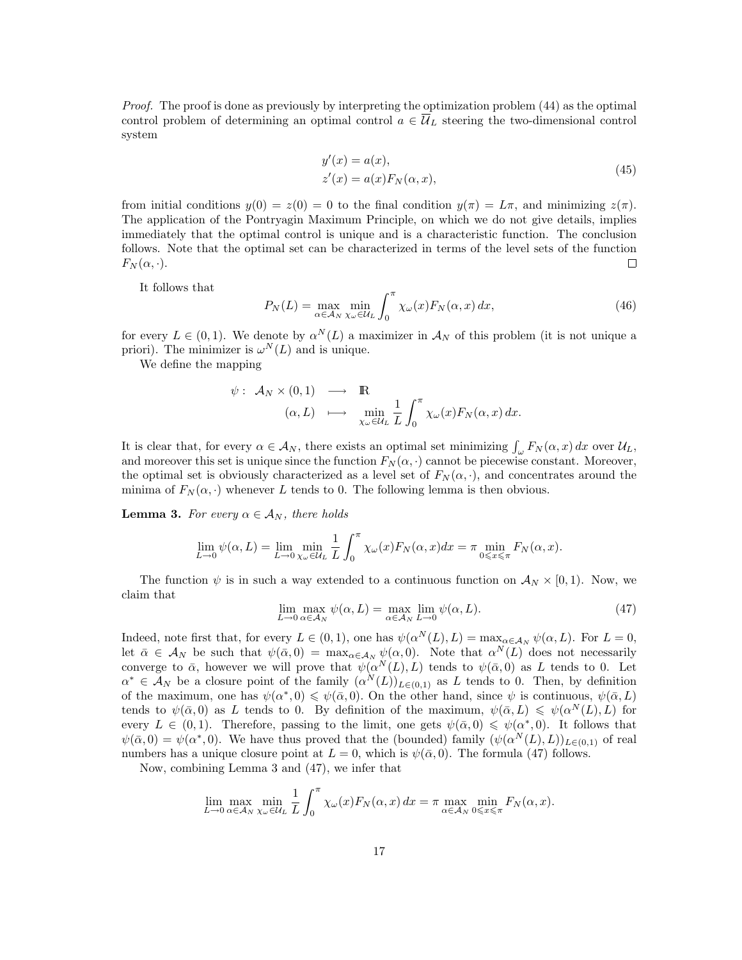Proof. The proof is done as previously by interpreting the optimization problem (44) as the optimal control problem of determining an optimal control  $a \in \overline{\mathcal{U}}_L$  steering the two-dimensional control system

$$
y'(x) = a(x),
$$
  
\n
$$
z'(x) = a(x)F_N(\alpha, x),
$$
\n(45)

from initial conditions  $y(0) = z(0) = 0$  to the final condition  $y(\pi) = L\pi$ , and minimizing  $z(\pi)$ . The application of the Pontryagin Maximum Principle, on which we do not give details, implies immediately that the optimal control is unique and is a characteristic function. The conclusion follows. Note that the optimal set can be characterized in terms of the level sets of the function  $F_N(\alpha, \cdot).$  $\Box$ 

It follows that

$$
P_N(L) = \max_{\alpha \in \mathcal{A}_N} \min_{\chi_{\omega} \in \mathcal{U}_L} \int_0^{\pi} \chi_{\omega}(x) F_N(\alpha, x) \, dx,\tag{46}
$$

for every  $L \in (0,1)$ . We denote by  $\alpha^N(L)$  a maximizer in  $\mathcal{A}_N$  of this problem (it is not unique a priori). The minimizer is  $\omega^N(L)$  and is unique.

We define the mapping

$$
\psi: \mathcal{A}_N \times (0,1) \longrightarrow \mathbb{R}
$$
  
\n
$$
(\alpha, L) \longrightarrow \min_{\chi_\omega \in \mathcal{U}_L} \frac{1}{L} \int_0^\pi \chi_\omega(x) F_N(\alpha, x) dx.
$$

It is clear that, for every  $\alpha \in \mathcal{A}_N$ , there exists an optimal set minimizing  $\int_{\omega} F_N(\alpha, x) dx$  over  $\mathcal{U}_L$ , and moreover this set is unique since the function  $F_N(\alpha, \cdot)$  cannot be piecewise constant. Moreover, the optimal set is obviously characterized as a level set of  $F_N(\alpha, \cdot)$ , and concentrates around the minima of  $F_N(\alpha, \cdot)$  whenever L tends to 0. The following lemma is then obvious.

**Lemma 3.** For every  $\alpha \in A_N$ , there holds

$$
\lim_{L \to 0} \psi(\alpha, L) = \lim_{L \to 0} \min_{\chi_{\omega} \in \mathcal{U}_L} \frac{1}{L} \int_0^{\pi} \chi_{\omega}(x) F_N(\alpha, x) dx = \pi \min_{0 \leq x \leq \pi} F_N(\alpha, x).
$$

The function  $\psi$  is in such a way extended to a continuous function on  $\mathcal{A}_N \times [0,1)$ . Now, we claim that

$$
\lim_{L \to 0} \max_{\alpha \in \mathcal{A}_N} \psi(\alpha, L) = \max_{\alpha \in \mathcal{A}_N} \lim_{L \to 0} \psi(\alpha, L). \tag{47}
$$

Indeed, note first that, for every  $L \in (0,1)$ , one has  $\psi(\alpha^N(L), L) = \max_{\alpha \in A_N} \psi(\alpha, L)$ . For  $L = 0$ , let  $\bar{\alpha} \in A_N$  be such that  $\psi(\bar{\alpha},0) = \max_{\alpha \in A_N} \psi(\alpha,0)$ . Note that  $\alpha^N(L)$  does not necessarily converge to  $\bar{\alpha}$ , however we will prove that  $\psi(\alpha^N(L), L)$  tends to  $\psi(\bar{\alpha}, 0)$  as L tends to 0. Let  $\alpha^* \in \mathcal{A}_N$  be a closure point of the family  $(\alpha^N(L))_{L\in(0,1)}$  as L tends to 0. Then, by definition of the maximum, one has  $\psi(\alpha^*,0) \leq \psi(\bar{\alpha},0)$ . On the other hand, since  $\psi$  is continuous,  $\psi(\bar{\alpha},L)$ tends to  $\psi(\bar{\alpha},0)$  as L tends to 0. By definition of the maximum,  $\psi(\bar{\alpha},L) \leq \psi(\alpha^N(L),L)$  for every  $L \in (0,1)$ . Therefore, passing to the limit, one gets  $\psi(\bar{\alpha},0) \leq \psi(\alpha^*,0)$ . It follows that  $\psi(\bar{\alpha},0) = \psi(\alpha^*,0)$ . We have thus proved that the (bounded) family  $(\psi(\alpha^N(L),L))_{L\in(0,1)}$  of real numbers has a unique closure point at  $L = 0$ , which is  $\psi(\bar{\alpha}, 0)$ . The formula (47) follows.

Now, combining Lemma 3 and (47), we infer that

$$
\lim_{L \to 0} \max_{\alpha \in A_N} \min_{\chi_{\omega} \in \mathcal{U}_L} \frac{1}{L} \int_0^{\pi} \chi_{\omega}(x) F_N(\alpha, x) \, dx = \pi \max_{\alpha \in A_N} \min_{0 \le x \le \pi} F_N(\alpha, x).
$$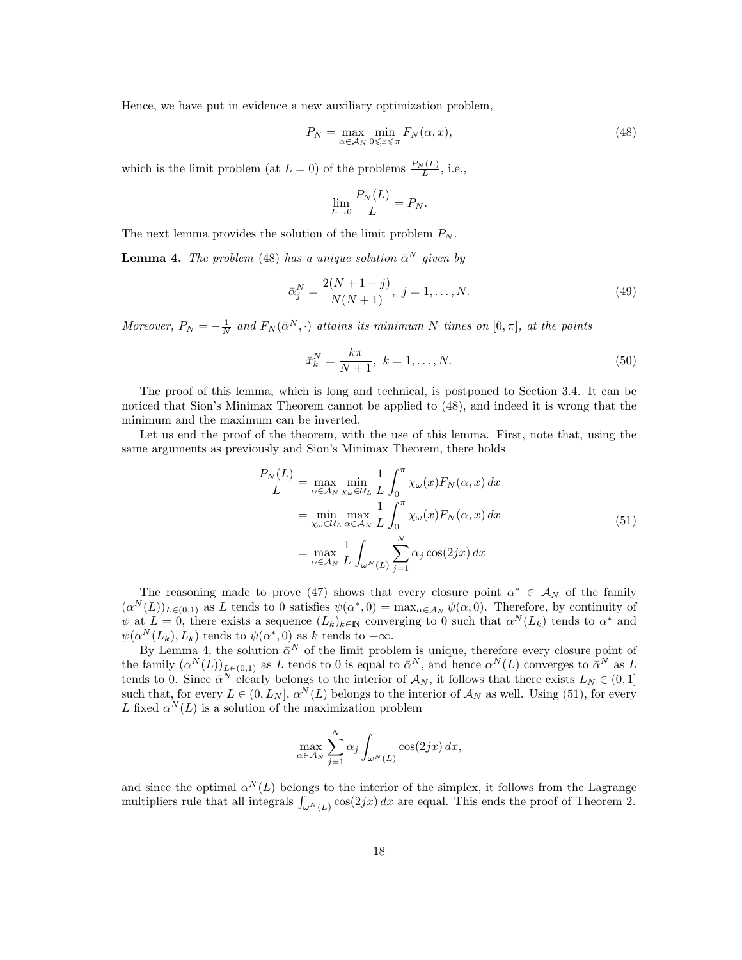Hence, we have put in evidence a new auxiliary optimization problem,

$$
P_N = \max_{\alpha \in \mathcal{A}_N} \min_{0 \le x \le \pi} F_N(\alpha, x), \tag{48}
$$

which is the limit problem (at  $L = 0$ ) of the problems  $\frac{P_N(L)}{L}$ , i.e.,

$$
\lim_{L \to 0} \frac{P_N(L)}{L} = P_N.
$$

The next lemma provides the solution of the limit problem  $P_N$ .

**Lemma 4.** The problem (48) has a unique solution  $\bar{\alpha}^N$  given by

$$
\bar{\alpha}_j^N = \frac{2(N+1-j)}{N(N+1)}, \ j = 1, \dots, N. \tag{49}
$$

Moreover,  $P_N = -\frac{1}{N}$  and  $F_N(\bar{\alpha}^N, \cdot)$  attains its minimum N times on  $[0, \pi]$ , at the points

$$
\bar{x}_k^N = \frac{k\pi}{N+1}, \ k = 1, \dots, N. \tag{50}
$$

The proof of this lemma, which is long and technical, is postponed to Section 3.4. It can be noticed that Sion's Minimax Theorem cannot be applied to (48), and indeed it is wrong that the minimum and the maximum can be inverted.

Let us end the proof of the theorem, with the use of this lemma. First, note that, using the same arguments as previously and Sion's Minimax Theorem, there holds

$$
\frac{P_N(L)}{L} = \max_{\alpha \in \mathcal{A}_N} \min_{\chi_{\omega} \in \mathcal{U}_L} \frac{1}{L} \int_0^{\pi} \chi_{\omega}(x) F_N(\alpha, x) dx
$$

$$
= \min_{\chi_{\omega} \in \mathcal{U}_L} \max_{\alpha \in \mathcal{A}_N} \frac{1}{L} \int_0^{\pi} \chi_{\omega}(x) F_N(\alpha, x) dx
$$

$$
= \max_{\alpha \in \mathcal{A}_N} \frac{1}{L} \int_{\omega^N(L)} \sum_{j=1}^N \alpha_j \cos(2jx) dx
$$
(51)

The reasoning made to prove (47) shows that every closure point  $\alpha^* \in A_N$  of the family  $(\alpha^N(L))_{L\in(0,1)}$  as L tends to 0 satisfies  $\psi(\alpha^*,0) = \max_{\alpha\in\mathcal{A}_N}\psi(\alpha,0)$ . Therefore, by continuity of  $\psi$  at  $L = 0$ , there exists a sequence  $(L_k)_{k \in \mathbb{N}}$  converging to 0 such that  $\alpha^N(L_k)$  tends to  $\alpha^*$  and  $\psi(\alpha^N(L_k), L_k)$  tends to  $\psi(\alpha^*, 0)$  as k tends to  $+\infty$ .

By Lemma 4, the solution  $\bar{\alpha}^N$  of the limit problem is unique, therefore every closure point of the family  $(\alpha^N(L))_{L\in(0,1)}$  as L tends to 0 is equal to  $\bar{\alpha}^N$ , and hence  $\alpha^N(L)$  converges to  $\bar{\alpha}^N$  as L tends to 0. Since  $\bar{\alpha}^N$  clearly belongs to the interior of  $\mathcal{A}_N$ , it follows that there exists  $L_N \in (0,1]$ such that, for every  $L \in (0, L_N], \alpha^N(L)$  belongs to the interior of  $\mathcal{A}_N$  as well. Using (51), for every L fixed  $\alpha^N(L)$  is a solution of the maximization problem

$$
\max_{\alpha \in \mathcal{A}_N} \sum_{j=1}^N \alpha_j \int_{\omega^N(L)} \cos(2jx) \, dx,
$$

and since the optimal  $\alpha^N(L)$  belongs to the interior of the simplex, it follows from the Lagrange multipliers rule that all integrals  $\int_{\omega^N(L)} \cos(2jx) dx$  are equal. This ends the proof of Theorem 2.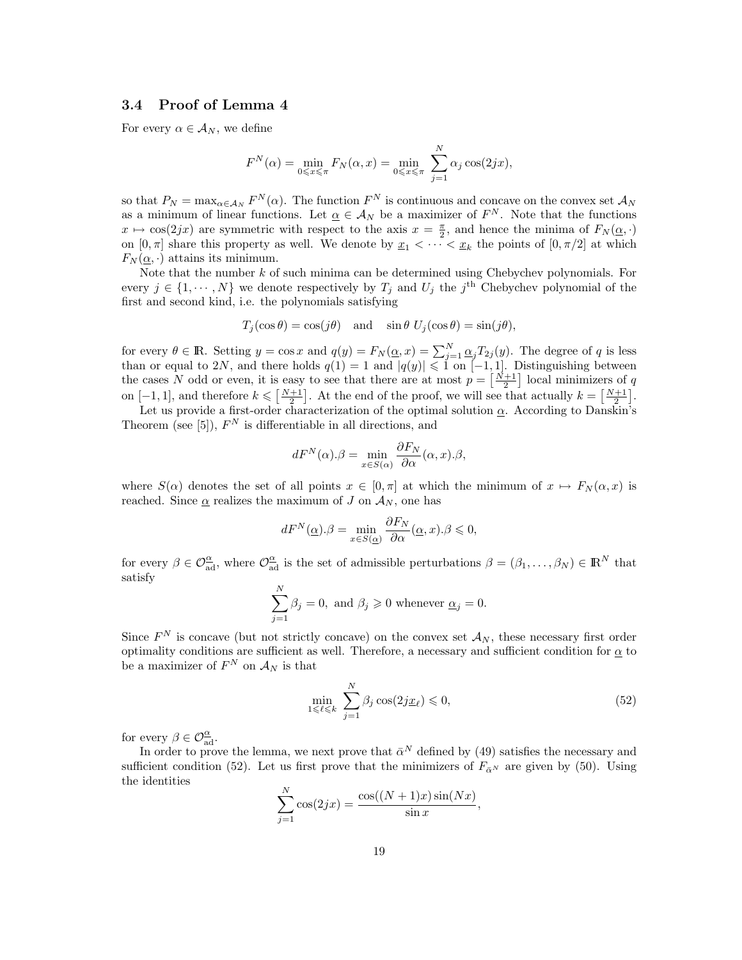### 3.4 Proof of Lemma 4

For every  $\alpha \in \mathcal{A}_N$ , we define

$$
F^{N}(\alpha) = \min_{0 \leq x \leq \pi} F_{N}(\alpha, x) = \min_{0 \leq x \leq \pi} \sum_{j=1}^{N} \alpha_{j} \cos(2jx),
$$

so that  $P_N = \max_{\alpha \in A_N} F^N(\alpha)$ . The function  $F^N$  is continuous and concave on the convex set  $A_N$ as a minimum of linear functions. Let  $\underline{\alpha} \in \mathcal{A}_N$  be a maximizer of  $F^N$ . Note that the functions  $x \mapsto \cos(2jx)$  are symmetric with respect to the axis  $x = \frac{\pi}{2}$ , and hence the minima of  $F_N(\underline{\alpha}, \cdot)$ on  $[0, \pi]$  share this property as well. We denote by  $\underline{x}_1 < \cdots < \underline{x}_k$  the points of  $[0, \pi/2]$  at which  $F_N(\underline{\alpha},\cdot)$  attains its minimum.

Note that the number  $k$  of such minima can be determined using Chebychev polynomials. For every  $j \in \{1, \dots, N\}$  we denote respectively by  $T_j$  and  $U_j$  the  $j^{\text{th}}$  Chebychev polynomial of the first and second kind, i.e. the polynomials satisfying

$$
T_j(\cos \theta) = \cos(j\theta)
$$
 and  $\sin \theta \ U_j(\cos \theta) = \sin(j\theta)$ ,

for every  $\theta \in \mathbb{R}$ . Setting  $y = \cos x$  and  $q(y) = F_N(\underline{\alpha}, x) = \sum_{j=1}^N \underline{\alpha}_j T_{2j}(y)$ . The degree of q is less than or equal to 2N, and there holds  $q(1) = 1$  and  $|q(y)| \leq 1$  on  $[-1, 1]$ . Distinguishing between the cases N odd or even, it is easy to see that there are at most  $p = \left[\frac{N+1}{2}\right]$  local minimizers of q on  $[-1, 1]$ , and therefore  $k \leq \left[\frac{N+1}{2}\right]$ . At the end of the proof, we will see that actually  $k = \left[\frac{N+1}{2}\right]$ .

Let us provide a first-order characterization of the optimal solution  $\alpha$ . According to Danskin's Theorem (see [5]),  $F^N$  is differentiable in all directions, and

$$
dF^{N}(\alpha).\beta = \min_{x \in S(\alpha)} \frac{\partial F_{N}}{\partial \alpha}(\alpha, x).\beta,
$$

where  $S(\alpha)$  denotes the set of all points  $x \in [0, \pi]$  at which the minimum of  $x \mapsto F_N(\alpha, x)$  is reached. Since  $\alpha$  realizes the maximum of J on  $\mathcal{A}_N$ , one has

$$
dF^{N}(\underline{\alpha}).\beta = \min_{x \in S(\underline{\alpha})} \frac{\partial F_{N}}{\partial \alpha}(\underline{\alpha}, x).\beta \leqslant 0,
$$

for every  $\beta \in \mathcal{O}_{ad}^{\underline{\alpha}}$ , where  $\mathcal{O}_{ad}^{\underline{\alpha}}$  is the set of admissible perturbations  $\beta = (\beta_1, \ldots, \beta_N) \in \mathbb{R}^N$  that satisfy

$$
\sum_{j=1}^{N} \beta_j = 0, \text{ and } \beta_j \geq 0 \text{ whenever } \underline{\alpha}_j = 0.
$$

Since  $F^N$  is concave (but not strictly concave) on the convex set  $\mathcal{A}_N$ , these necessary first order optimality conditions are sufficient as well. Therefore, a necessary and sufficient condition for  $\alpha$  to be a maximizer of  $F^N$  on  $\mathcal{A}_N$  is that

$$
\min_{1 \leq \ell \leq k} \sum_{j=1}^{N} \beta_j \cos(2j \underline{x}_{\ell}) \leq 0,
$$
\n(52)

for every  $\beta \in \mathcal{O}_{ad}^{\underline{\alpha}}$ .

In order to prove the lemma, we next prove that  $\bar{\alpha}^N$  defined by (49) satisfies the necessary and sufficient condition (52). Let us first prove that the minimizers of  $F_{\bar{\alpha}^N}$  are given by (50). Using the identities

$$
\sum_{j=1}^{N} \cos(2jx) = \frac{\cos((N+1)x)\sin(Nx)}{\sin x},
$$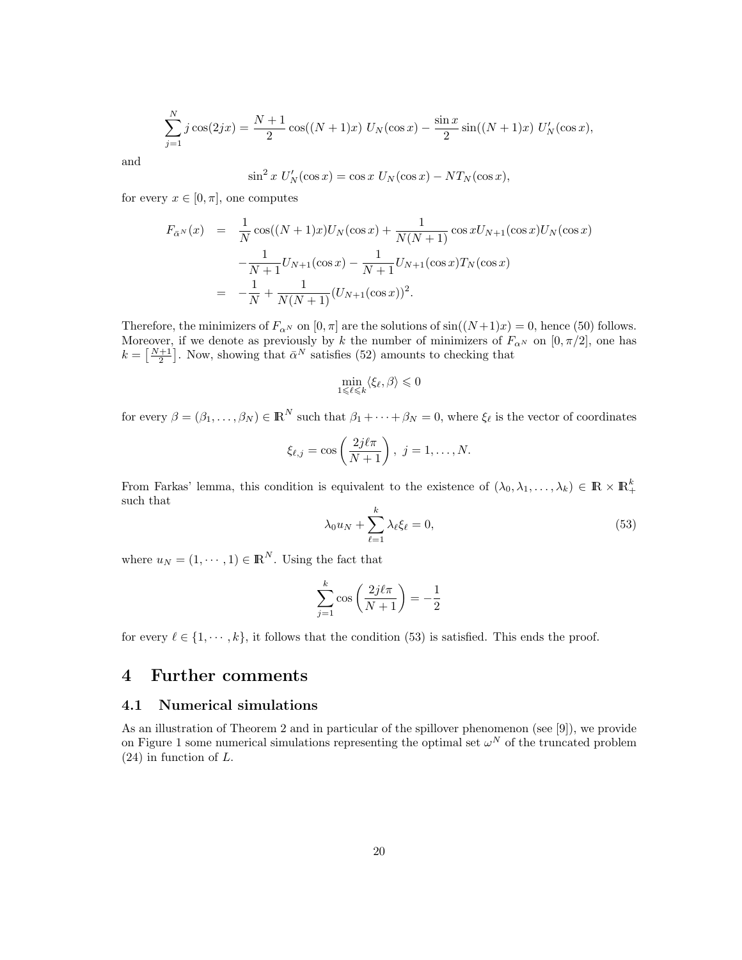$$
\sum_{j=1}^{N} j \cos(2jx) = \frac{N+1}{2} \cos((N+1)x) U_N(\cos x) - \frac{\sin x}{2} \sin((N+1)x) U'_N(\cos x),
$$

and

$$
\sin^2 x \ U'_N(\cos x) = \cos x \ U_N(\cos x) - NT_N(\cos x),
$$

for every  $x \in [0, \pi]$ , one computes

$$
F_{\bar{\alpha}^N}(x) = \frac{1}{N} \cos((N+1)x)U_N(\cos x) + \frac{1}{N(N+1)} \cos x U_{N+1}(\cos x)U_N(\cos x)
$$
  

$$
-\frac{1}{N+1}U_{N+1}(\cos x) - \frac{1}{N+1}U_{N+1}(\cos x)T_N(\cos x)
$$
  

$$
= -\frac{1}{N} + \frac{1}{N(N+1)}(U_{N+1}(\cos x))^2.
$$

Therefore, the minimizers of  $F_{\alpha^N}$  on  $[0, \pi]$  are the solutions of  $sin((N+1)x) = 0$ , hence (50) follows. Moreover, if we denote as previously by k the number of minimizers of  $F_{\alpha^N}$  on  $[0, \pi/2]$ , one has  $k = \left[\frac{N+1}{2}\right]$ . Now, showing that  $\bar{\alpha}^N$  satisfies (52) amounts to checking that

$$
\min_{1\leqslant \ell \leqslant k} \langle \xi_\ell, \beta \rangle \leqslant 0
$$

for every  $\beta = (\beta_1, \ldots, \beta_N) \in \mathbb{R}^N$  such that  $\beta_1 + \cdots + \beta_N = 0$ , where  $\xi_\ell$  is the vector of coordinates

$$
\xi_{\ell,j} = \cos\left(\frac{2j\ell\pi}{N+1}\right), \ j = 1,\ldots,N.
$$

From Farkas' lemma, this condition is equivalent to the existence of  $(\lambda_0, \lambda_1, \ldots, \lambda_k) \in \mathbb{R} \times \mathbb{R}^k_+$ such that

$$
\lambda_0 u_N + \sum_{\ell=1}^k \lambda_\ell \xi_\ell = 0,\tag{53}
$$

where  $u_N = (1, \dots, 1) \in \mathbb{R}^N$ . Using the fact that

$$
\sum_{j=1}^{k} \cos\left(\frac{2j\ell\pi}{N+1}\right) = -\frac{1}{2}
$$

for every  $\ell \in \{1, \dots, k\}$ , it follows that the condition (53) is satisfied. This ends the proof.

### 4 Further comments

### 4.1 Numerical simulations

As an illustration of Theorem 2 and in particular of the spillover phenomenon (see [9]), we provide on Figure 1 some numerical simulations representing the optimal set  $\omega^N$  of the truncated problem (24) in function of L.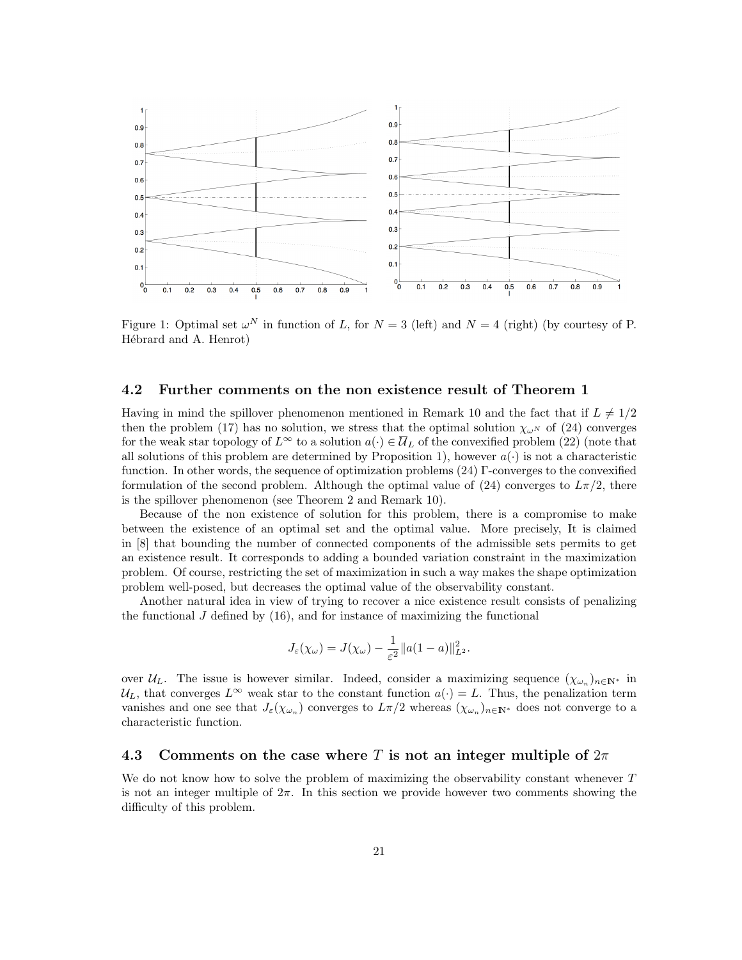

Figure 1: Optimal set  $\omega^N$  in function of L, for  $N = 3$  (left) and  $N = 4$  (right) (by courtesy of P. Hébrard and A. Henrot)

#### 4.2 Further comments on the non existence result of Theorem 1

Having in mind the spillover phenomenon mentioned in Remark 10 and the fact that if  $L \neq 1/2$ then the problem (17) has no solution, we stress that the optimal solution  $\chi_{\omega^N}$  of (24) converges for the weak star topology of  $L^{\infty}$  to a solution  $a(\cdot) \in \overline{\mathcal{U}}_L$  of the convexified problem (22) (note that all solutions of this problem are determined by Proposition 1), however  $a(\cdot)$  is not a characteristic function. In other words, the sequence of optimization problems (24) Γ-converges to the convexified formulation of the second problem. Although the optimal value of (24) converges to  $L\pi/2$ , there is the spillover phenomenon (see Theorem 2 and Remark 10).

Because of the non existence of solution for this problem, there is a compromise to make between the existence of an optimal set and the optimal value. More precisely, It is claimed in [8] that bounding the number of connected components of the admissible sets permits to get an existence result. It corresponds to adding a bounded variation constraint in the maximization problem. Of course, restricting the set of maximization in such a way makes the shape optimization problem well-posed, but decreases the optimal value of the observability constant.

Another natural idea in view of trying to recover a nice existence result consists of penalizing the functional  $J$  defined by  $(16)$ , and for instance of maximizing the functional

$$
J_{\varepsilon}(\chi_{\omega}) = J(\chi_{\omega}) - \frac{1}{\varepsilon^2} ||a(1-a)||_{L^2}^2.
$$

over  $\mathcal{U}_L$ . The issue is however similar. Indeed, consider a maximizing sequence  $(\chi_{\omega_n})_{n\in\mathbb{N}^*}$  in  $U_L$ , that converges  $L^{\infty}$  weak star to the constant function  $a(\cdot) = L$ . Thus, the penalization term vanishes and one see that  $J_\varepsilon(\chi_{\omega_n})$  converges to  $L\pi/2$  whereas  $(\chi_{\omega_n})_{n\in\mathbb{N}^*}$  does not converge to a characteristic function.

### 4.3 Comments on the case where T is not an integer multiple of  $2\pi$

We do not know how to solve the problem of maximizing the observability constant whenever  $T$ is not an integer multiple of  $2\pi$ . In this section we provide however two comments showing the difficulty of this problem.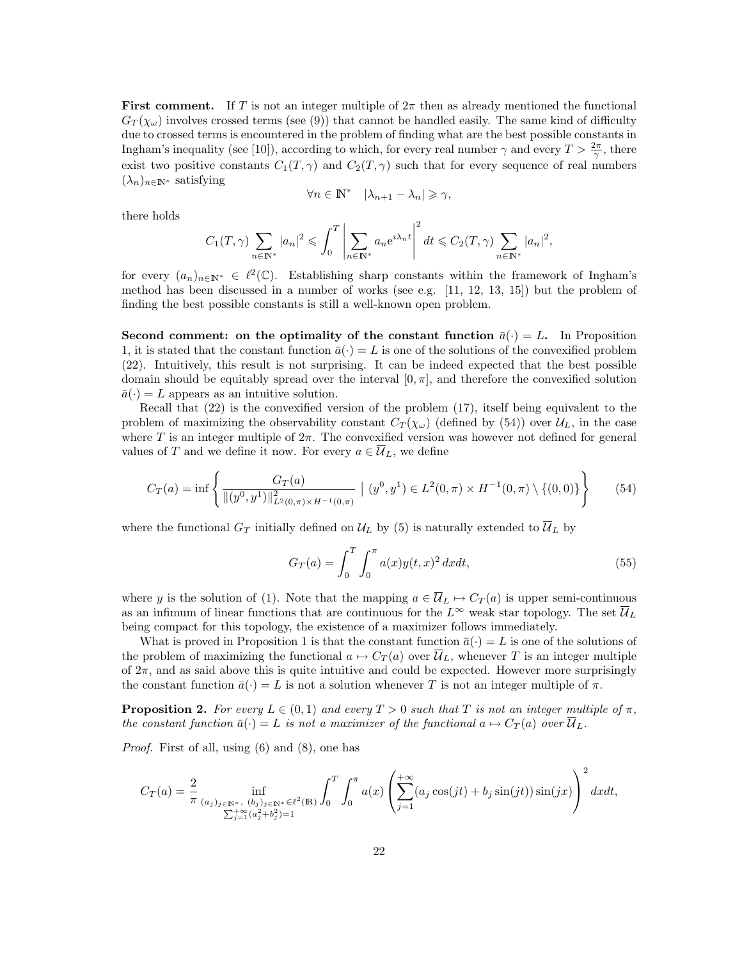**First comment.** If T is not an integer multiple of  $2\pi$  then as already mentioned the functional  $G_T(\chi_\omega)$  involves crossed terms (see (9)) that cannot be handled easily. The same kind of difficulty due to crossed terms is encountered in the problem of finding what are the best possible constants in Ingham's inequality (see [10]), according to which, for every real number  $\gamma$  and every  $T > \frac{2\pi}{\gamma}$ , there exist two positive constants  $C_1(T, \gamma)$  and  $C_2(T, \gamma)$  such that for every sequence of real numbers  $(\lambda_n)_{n\in\mathbb{N}^*}$  satisfying

$$
\forall n \in \mathbb{N}^* \quad |\lambda_{n+1} - \lambda_n| \geqslant \gamma,
$$

there holds

$$
C_1(T,\gamma)\sum_{n\in\mathbb{N}^*}|a_n|^2\leqslant \int_0^T\left|\sum_{n\in\mathbb{N}^*}a_ne^{i\lambda_nt}\right|^2dt\leqslant C_2(T,\gamma)\sum_{n\in\mathbb{N}^*}|a_n|^2,
$$

for every  $(a_n)_{n\in\mathbb{N}^*}\in\ell^2(\mathbb{C})$ . Establishing sharp constants within the framework of Ingham's method has been discussed in a number of works (see e.g. [11, 12, 13, 15]) but the problem of finding the best possible constants is still a well-known open problem.

Second comment: on the optimality of the constant function  $\bar{a}(\cdot) = L$ . In Proposition 1, it is stated that the constant function  $\bar{a}(\cdot) = L$  is one of the solutions of the convexified problem (22). Intuitively, this result is not surprising. It can be indeed expected that the best possible domain should be equitably spread over the interval  $[0, \pi]$ , and therefore the convexified solution  $\bar{a}(\cdot) = L$  appears as an intuitive solution.

Recall that (22) is the convexified version of the problem (17), itself being equivalent to the problem of maximizing the observability constant  $C_T(\chi_\omega)$  (defined by (54)) over  $\mathcal{U}_L$ , in the case where T is an integer multiple of  $2\pi$ . The convexified version was however not defined for general values of T and we define it now. For every  $a \in \overline{\mathcal{U}}_L$ , we define

$$
C_T(a) = \inf \left\{ \frac{G_T(a)}{\|(y^0, y^1)\|_{L^2(0, \pi) \times H^{-1}(0, \pi)}^2} \mid (y^0, y^1) \in L^2(0, \pi) \times H^{-1}(0, \pi) \setminus \{(0, 0)\} \right\}
$$
(54)

where the functional  $G_T$  initially defined on  $\mathcal{U}_L$  by (5) is naturally extended to  $\overline{\mathcal{U}}_L$  by

$$
G_T(a) = \int_0^T \int_0^{\pi} a(x) y(t, x)^2 dx dt,
$$
\n(55)

where y is the solution of (1). Note that the mapping  $a \in \overline{\mathcal{U}}_L \mapsto C_T(a)$  is upper semi-continuous as an infimum of linear functions that are continuous for the  $L^{\infty}$  weak star topology. The set  $\overline{\mathcal{U}}_L$ being compact for this topology, the existence of a maximizer follows immediately.

What is proved in Proposition 1 is that the constant function  $\bar{a}(\cdot) = L$  is one of the solutions of the problem of maximizing the functional  $a \mapsto C_T(a)$  over  $\overline{\mathcal{U}}_L$ , whenever T is an integer multiple of  $2\pi$ , and as said above this is quite intuitive and could be expected. However more surprisingly the constant function  $\bar{a}(\cdot) = L$  is not a solution whenever T is not an integer multiple of  $\pi$ .

**Proposition 2.** For every  $L \in (0,1)$  and every  $T > 0$  such that T is not an integer multiple of  $\pi$ , the constant function  $\bar{a}(\cdot) = L$  is not a maximizer of the functional  $a \mapsto C_T (a)$  over  $\overline{\mathcal{U}}_L$ .

Proof. First of all, using (6) and (8), one has

$$
C_T(a) = \frac{2}{\pi} \inf_{\substack{(a_j)_{j \in \mathbb{N}^*, (b_j)_{j \in \mathbb{N}^*} \in \ell^2(\mathbb{R}) \\ \sum_{j=1}^+ (a_j^2 + b_j^2) = 1}} \int_0^T \int_0^{\pi} a(x) \left( \sum_{j=1}^{+\infty} (a_j \cos(jt) + b_j \sin(jt)) \sin(jx) \right)^2 dx dt,
$$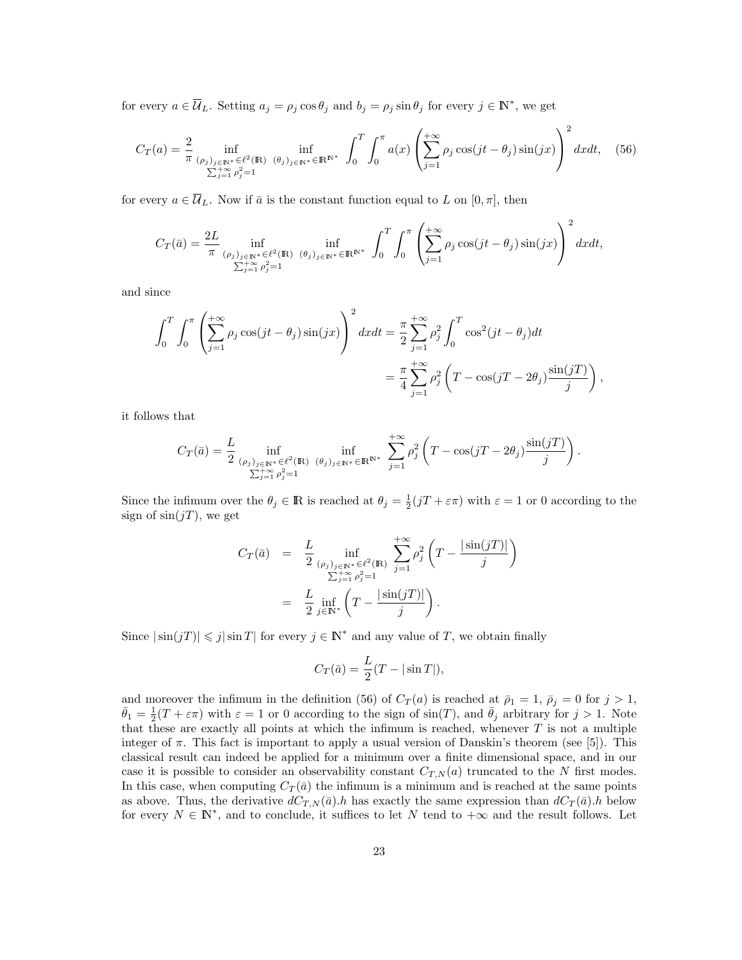for every  $a \in \overline{\mathcal{U}}_L$ . Setting  $a_j = \rho_j \cos \theta_j$  and  $b_j = \rho_j \sin \theta_j$  for every  $j \in \mathbb{N}^*$ , we get

$$
C_T(a) = \frac{2}{\pi} \inf_{\substack{(\rho_j)_{j \in \mathbb{N}^*} \in \ell^2(\mathbb{R}) \\ \sum_{j=1}^+ \rho_j^2 = 1}} \inf_{(\theta_j)_{j \in \mathbb{N}^*} \in \mathbb{R}^{\mathbb{N}^*}} \int_0^T \int_0^{\pi} a(x) \left( \sum_{j=1}^{+\infty} \rho_j \cos(jt - \theta_j) \sin(jx) \right)^2 dx dt, \quad (56)
$$

for every  $a \in \overline{\mathcal{U}}_L$ . Now if  $\overline{a}$  is the constant function equal to L on  $[0, \pi]$ , then

$$
C_T(\bar{a}) = \frac{2L}{\pi} \inf_{\substack{(\rho_j)_{j \in \mathbb{N}^*} \in \ell^2(\mathbb{R}) \\ \sum_{j=1}^+ \rho_j^2 = 1}} \inf_{(\theta_j)_{j \in \mathbb{N}^*} \in \mathbb{R}^{\mathbb{N}^*}} \int_0^T \int_0^{\pi} \left( \sum_{j=1}^{+\infty} \rho_j \cos(jt - \theta_j) \sin(jx) \right)^2 dx dt,
$$

and since

$$
\int_0^T \int_0^\pi \left( \sum_{j=1}^{+\infty} \rho_j \cos(jt - \theta_j) \sin(jx) \right)^2 dx dt = \frac{\pi}{2} \sum_{j=1}^{+\infty} \rho_j^2 \int_0^T \cos^2(jt - \theta_j) dt
$$

$$
= \frac{\pi}{4} \sum_{j=1}^{+\infty} \rho_j^2 \left( T - \cos(jT - 2\theta_j) \frac{\sin(jT)}{j} \right)
$$

,

it follows that

$$
C_T(\bar{a}) = \frac{L}{2} \inf_{\substack{(\rho_j)_{j \in \mathbb{N}^*} \in \ell^2(\mathbb{R}) \\ \sum_{j=1}^{+\infty} \rho_j^2 = 1}} \inf_{(\theta_j)_{j \in \mathbb{N}^*} \in \mathbb{R}^{\mathbb{N}^*}} \sum_{j=1}^{+\infty} \rho_j^2 \left(T - \cos(jT - 2\theta_j) \frac{\sin(jT)}{j}\right).
$$

Since the infimum over the  $\theta_j \in \mathbb{R}$  is reached at  $\theta_j = \frac{1}{2}(jT + \varepsilon \pi)$  with  $\varepsilon = 1$  or 0 according to the sign of  $sin(jT)$ , we get

$$
C_T(\bar{a}) = \frac{L}{2} \inf_{\substack{(\rho_j)_{j \in \mathbb{N}^*} \in \ell^2(\mathbb{R}) \\ \sum_{j=1}^+ \rho_j^2 = 1}} \sum_{j=1}^{+\infty} \rho_j^2 \left( T - \frac{|\sin(jT)|}{j} \right)
$$
  
= 
$$
\frac{L}{2} \inf_{j \in \mathbb{N}^*} \left( T - \frac{|\sin(jT)|}{j} \right).
$$

Since  $|\sin(jT)| \leq j |\sin T|$  for every  $j \in \mathbb{N}^*$  and any value of T, we obtain finally

$$
C_T(\bar{a}) = \frac{L}{2}(T - |\sin T|),
$$

and moreover the infimum in the definition (56) of  $C_T(a)$  is reached at  $\bar{p}_1 = 1$ ,  $\bar{p}_j = 0$  for  $j > 1$ ,  $\bar{\theta}_1 = \frac{1}{2}(T + \varepsilon \pi)$  with  $\varepsilon = 1$  or 0 according to the sign of sin(T), and  $\bar{\theta}_j$  arbitrary for  $j > 1$ . Note that these are exactly all points at which the infimum is reached, whenever  $T$  is not a multiple integer of  $\pi$ . This fact is important to apply a usual version of Danskin's theorem (see [5]). This classical result can indeed be applied for a minimum over a finite dimensional space, and in our case it is possible to consider an observability constant  $C_{T,N}(a)$  truncated to the N first modes. In this case, when computing  $C_T(\bar{a})$  the infimum is a minimum and is reached at the same points as above. Thus, the derivative  $dC_{T,N}(\bar{a})$ .h has exactly the same expression than  $dC_T(\bar{a})$ .h below for every  $N \in \mathbb{N}^*$ , and to conclude, it suffices to let N tend to  $+\infty$  and the result follows. Let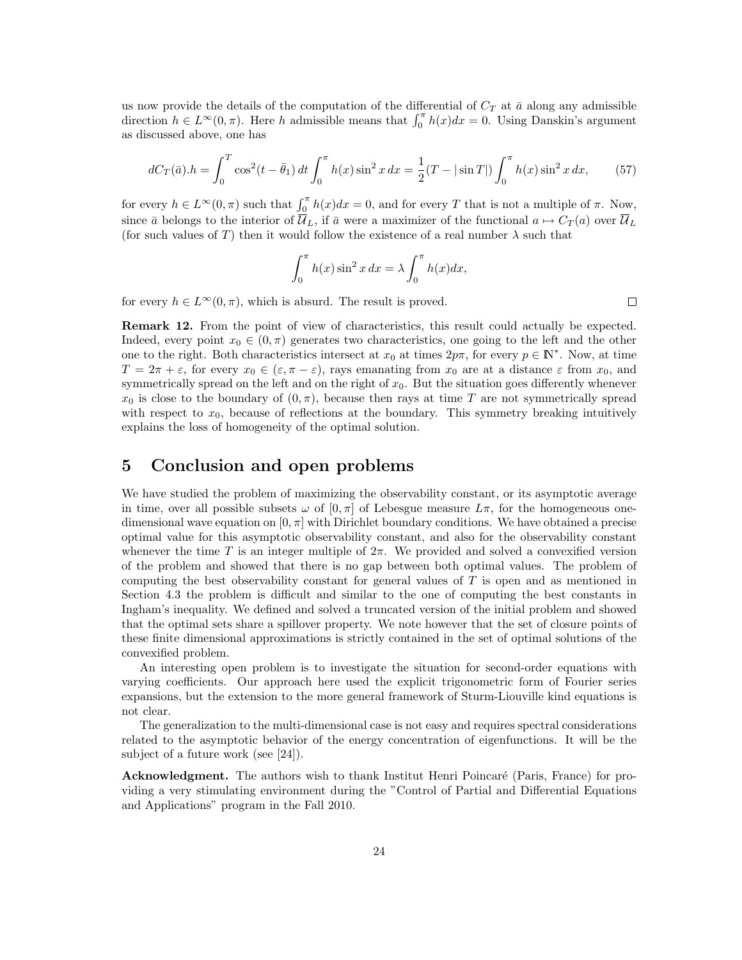us now provide the details of the computation of the differential of  $C_T$  at  $\bar{a}$  along any admissible direction  $h \in L^{\infty}(0, \pi)$ . Here h admissible means that  $\int_0^{\pi} h(x)dx = 0$ . Using Danskin's argument as discussed above, one has

$$
dC_T(\bar{a}).h = \int_0^T \cos^2(t - \bar{\theta}_1) dt \int_0^{\pi} h(x) \sin^2 x dx = \frac{1}{2}(T - |\sin T|) \int_0^{\pi} h(x) \sin^2 x dx,
$$
 (57)

for every  $h \in L^{\infty}(0, \pi)$  such that  $\int_0^{\pi} h(x)dx = 0$ , and for every T that is not a multiple of  $\pi$ . Now, since  $\bar{a}$  belongs to the interior of  $\overline{\mathcal{U}}_L$ , if  $\bar{a}$  were a maximizer of the functional  $a \mapsto C_T (a)$  over  $\overline{\mathcal{U}}_L$ (for such values of T) then it would follow the existence of a real number  $\lambda$  such that

$$
\int_0^{\pi} h(x) \sin^2 x \, dx = \lambda \int_0^{\pi} h(x) dx,
$$

for every  $h \in L^{\infty}(0, \pi)$ , which is absurd. The result is proved.

 $\Box$ 

Remark 12. From the point of view of characteristics, this result could actually be expected. Indeed, every point  $x_0 \in (0, \pi)$  generates two characteristics, one going to the left and the other one to the right. Both characteristics intersect at  $x_0$  at times  $2p\pi$ , for every  $p \in \mathbb{N}^*$ . Now, at time  $T = 2\pi + \varepsilon$ , for every  $x_0 \in (\varepsilon, \pi - \varepsilon)$ , rays emanating from  $x_0$  are at a distance  $\varepsilon$  from  $x_0$ , and symmetrically spread on the left and on the right of  $x<sub>0</sub>$ . But the situation goes differently whenever  $x_0$  is close to the boundary of  $(0, \pi)$ , because then rays at time T are not symmetrically spread with respect to  $x_0$ , because of reflections at the boundary. This symmetry breaking intuitively explains the loss of homogeneity of the optimal solution.

# 5 Conclusion and open problems

We have studied the problem of maximizing the observability constant, or its asymptotic average in time, over all possible subsets  $\omega$  of  $[0, \pi]$  of Lebesgue measure  $L\pi$ , for the homogeneous onedimensional wave equation on  $[0, \pi]$  with Dirichlet boundary conditions. We have obtained a precise optimal value for this asymptotic observability constant, and also for the observability constant whenever the time T is an integer multiple of  $2\pi$ . We provided and solved a convexified version of the problem and showed that there is no gap between both optimal values. The problem of computing the best observability constant for general values of T is open and as mentioned in Section 4.3 the problem is difficult and similar to the one of computing the best constants in Ingham's inequality. We defined and solved a truncated version of the initial problem and showed that the optimal sets share a spillover property. We note however that the set of closure points of these finite dimensional approximations is strictly contained in the set of optimal solutions of the convexified problem.

An interesting open problem is to investigate the situation for second-order equations with varying coefficients. Our approach here used the explicit trigonometric form of Fourier series expansions, but the extension to the more general framework of Sturm-Liouville kind equations is not clear.

The generalization to the multi-dimensional case is not easy and requires spectral considerations related to the asymptotic behavior of the energy concentration of eigenfunctions. It will be the subject of a future work (see [24]).

Acknowledgment. The authors wish to thank Institut Henri Poincaré (Paris, France) for providing a very stimulating environment during the "Control of Partial and Differential Equations and Applications" program in the Fall 2010.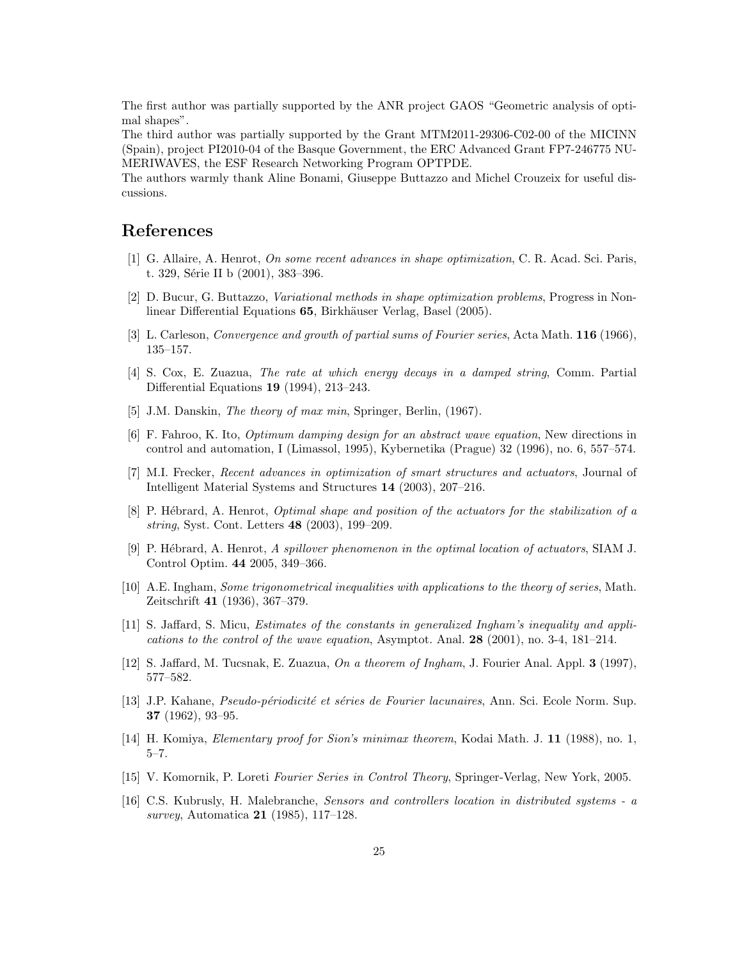The first author was partially supported by the ANR project GAOS "Geometric analysis of optimal shapes".

The third author was partially supported by the Grant MTM2011-29306-C02-00 of the MICINN (Spain), project PI2010-04 of the Basque Government, the ERC Advanced Grant FP7-246775 NU-MERIWAVES, the ESF Research Networking Program OPTPDE.

The authors warmly thank Aline Bonami, Giuseppe Buttazzo and Michel Crouzeix for useful discussions.

### References

- [1] G. Allaire, A. Henrot, On some recent advances in shape optimization, C. R. Acad. Sci. Paris, t. 329, Série II b (2001), 383–396.
- [2] D. Bucur, G. Buttazzo, Variational methods in shape optimization problems, Progress in Nonlinear Differential Equations 65, Birkhäuser Verlag, Basel (2005).
- [3] L. Carleson, Convergence and growth of partial sums of Fourier series, Acta Math. 116 (1966), 135–157.
- [4] S. Cox, E. Zuazua, The rate at which energy decays in a damped string, Comm. Partial Differential Equations 19 (1994), 213–243.
- [5] J.M. Danskin, *The theory of max min*, Springer, Berlin, (1967).
- [6] F. Fahroo, K. Ito, Optimum damping design for an abstract wave equation, New directions in control and automation, I (Limassol, 1995), Kybernetika (Prague) 32 (1996), no. 6, 557–574.
- [7] M.I. Frecker, Recent advances in optimization of smart structures and actuators, Journal of Intelligent Material Systems and Structures 14 (2003), 207–216.
- [8] P. Hébrard, A. Henrot, *Optimal shape and position of the actuators for the stabilization of a* string, Syst. Cont. Letters 48 (2003), 199–209.
- [9] P. Hébrard, A. Henrot, A spillover phenomenon in the optimal location of actuators, SIAM J. Control Optim. 44 2005, 349–366.
- [10] A.E. Ingham, Some trigonometrical inequalities with applications to the theory of series, Math. Zeitschrift 41 (1936), 367–379.
- [11] S. Jaffard, S. Micu, Estimates of the constants in generalized Ingham's inequality and applications to the control of the wave equation, Asymptot. Anal.  $28$  (2001), no. 3-4, 181–214.
- [12] S. Jaffard, M. Tucsnak, E. Zuazua, On a theorem of Ingham, J. Fourier Anal. Appl. 3 (1997), 577–582.
- [13] J.P. Kahane, *Pseudo-périodicité et séries de Fourier lacunaires*, Ann. Sci. Ecole Norm. Sup. 37 (1962), 93–95.
- [14] H. Komiya, Elementary proof for Sion's minimax theorem, Kodai Math. J. 11 (1988), no. 1, 5–7.
- [15] V. Komornik, P. Loreti Fourier Series in Control Theory, Springer-Verlag, New York, 2005.
- [16] C.S. Kubrusly, H. Malebranche, Sensors and controllers location in distributed systems a survey, Automatica 21 (1985), 117–128.